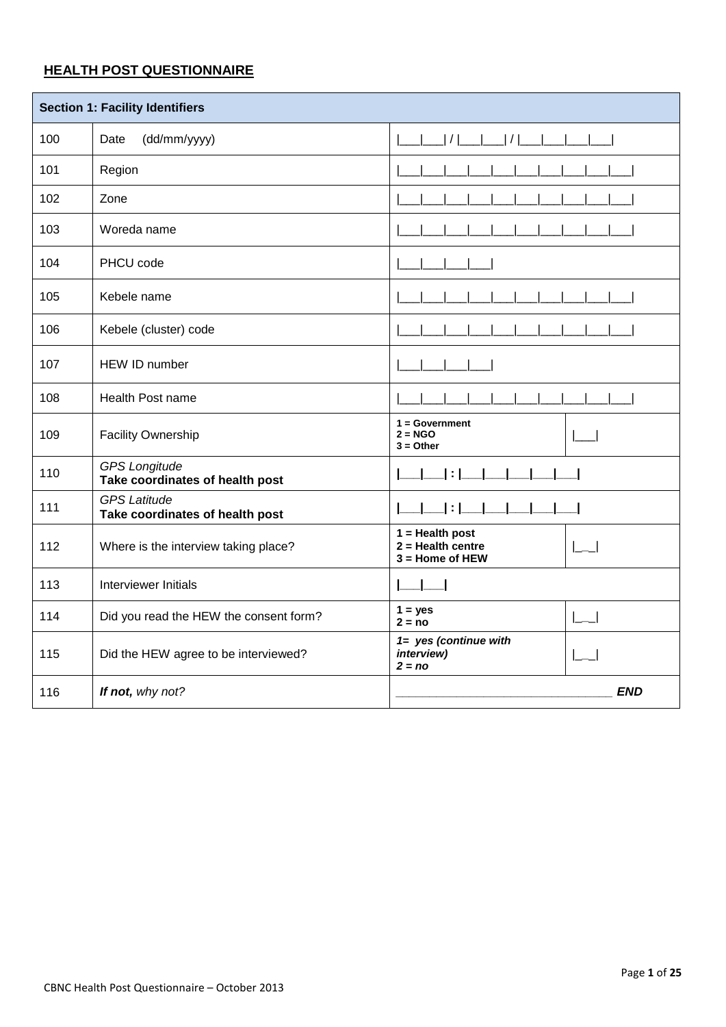# **HEALTH POST QUESTIONNAIRE**

|     | <b>Section 1: Facility Identifiers</b>                  |                                                               |  |  |  |
|-----|---------------------------------------------------------|---------------------------------------------------------------|--|--|--|
| 100 | (dd/mm/yyyy)<br>Date                                    | / <br> /                                                      |  |  |  |
| 101 | Region                                                  |                                                               |  |  |  |
| 102 | Zone                                                    |                                                               |  |  |  |
| 103 | Woreda name                                             |                                                               |  |  |  |
| 104 | PHCU code                                               |                                                               |  |  |  |
| 105 | Kebele name                                             |                                                               |  |  |  |
| 106 | Kebele (cluster) code                                   |                                                               |  |  |  |
| 107 | HEW ID number                                           |                                                               |  |  |  |
| 108 | Health Post name                                        |                                                               |  |  |  |
| 109 | Facility Ownership                                      | $1 = Government$<br>$2 = NGO$<br>$3 = Other$                  |  |  |  |
| 110 | <b>GPS Longitude</b><br>Take coordinates of health post |                                                               |  |  |  |
| 111 | <b>GPS Latitude</b><br>Take coordinates of health post  |                                                               |  |  |  |
| 112 | Where is the interview taking place?                    | $1 =$ Health post<br>$2 =$ Health centre<br>$3 =$ Home of HEW |  |  |  |
| 113 | Interviewer Initials                                    |                                                               |  |  |  |
| 114 | Did you read the HEW the consent form?                  | $1 = yes$<br>$2 = no$                                         |  |  |  |
| 115 | Did the HEW agree to be interviewed?                    | 1= yes (continue with<br>interview)<br>$2 = no$               |  |  |  |
| 116 | If not, why not?                                        | <b>END</b>                                                    |  |  |  |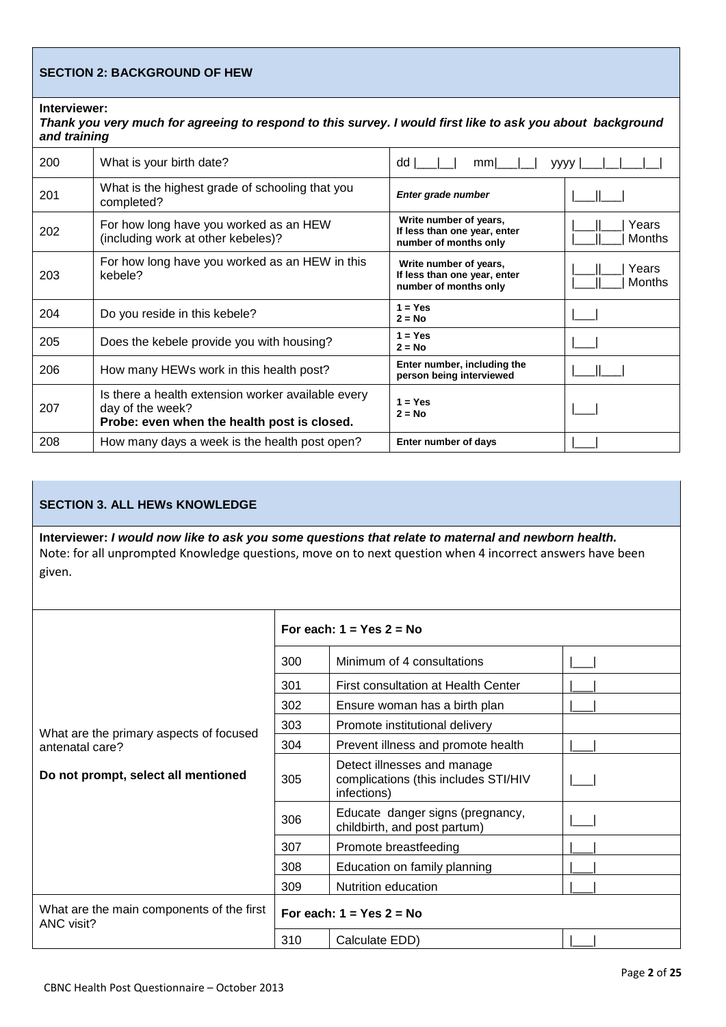### **SECTION 2: BACKGROUND OF HEW**

**Interviewer:** 

### *Thank you very much for agreeing to respond to this survey. I would first like to ask you about background and training*

| unu uummy |                                                                                                                       |                                                                                 |                        |  |
|-----------|-----------------------------------------------------------------------------------------------------------------------|---------------------------------------------------------------------------------|------------------------|--|
| 200       | What is your birth date?                                                                                              | dd I<br>mm                                                                      | yyyy                   |  |
| 201       | What is the highest grade of schooling that you<br>completed?                                                         | Enter grade number                                                              |                        |  |
| 202       | For how long have you worked as an HEW<br>(including work at other kebeles)?                                          | Write number of years,<br>If less than one year, enter<br>number of months only | Years<br><b>Months</b> |  |
| 203       | For how long have you worked as an HEW in this<br>kebele?                                                             | Write number of years,<br>If less than one year, enter<br>number of months only | Years<br><b>Months</b> |  |
| 204       | Do you reside in this kebele?                                                                                         | $1 = Yes$<br>$2 = No$                                                           |                        |  |
| 205       | Does the kebele provide you with housing?                                                                             | $1 = Yes$<br>$2 = No$                                                           |                        |  |
| 206       | How many HEWs work in this health post?                                                                               | Enter number, including the<br>person being interviewed                         |                        |  |
| 207       | Is there a health extension worker available every<br>day of the week?<br>Probe: even when the health post is closed. | $1 = Yes$<br>$2 = No$                                                           |                        |  |
| 208       | How many days a week is the health post open?                                                                         | Enter number of days                                                            |                        |  |

### **SECTION 3. ALL HEWs KNOWLEDGE**

**Interviewer:** *I would now like to ask you some questions that relate to maternal and newborn health.* Note: for all unprompted Knowledge questions, move on to next question when 4 incorrect answers have been given.

|                                                         | For each: $1 = Yes$ 2 = No |                                                                                    |  |  |
|---------------------------------------------------------|----------------------------|------------------------------------------------------------------------------------|--|--|
|                                                         | 300                        | Minimum of 4 consultations                                                         |  |  |
|                                                         | 301                        | First consultation at Health Center                                                |  |  |
|                                                         | 302                        | Ensure woman has a birth plan                                                      |  |  |
| What are the primary aspects of focused                 | 303                        | Promote institutional delivery                                                     |  |  |
| antenatal care?                                         | 304                        | Prevent illness and promote health                                                 |  |  |
| Do not prompt, select all mentioned                     | 305                        | Detect illnesses and manage<br>complications (this includes STI/HIV<br>infections) |  |  |
|                                                         | 306                        | Educate danger signs (pregnancy,<br>childbirth, and post partum)                   |  |  |
|                                                         | 307                        | Promote breastfeeding                                                              |  |  |
|                                                         | 308                        | Education on family planning                                                       |  |  |
|                                                         | 309                        | Nutrition education                                                                |  |  |
| What are the main components of the first<br>ANC visit? |                            | For each: $1 = Yes$ 2 = No                                                         |  |  |
|                                                         | 310                        | Calculate EDD)                                                                     |  |  |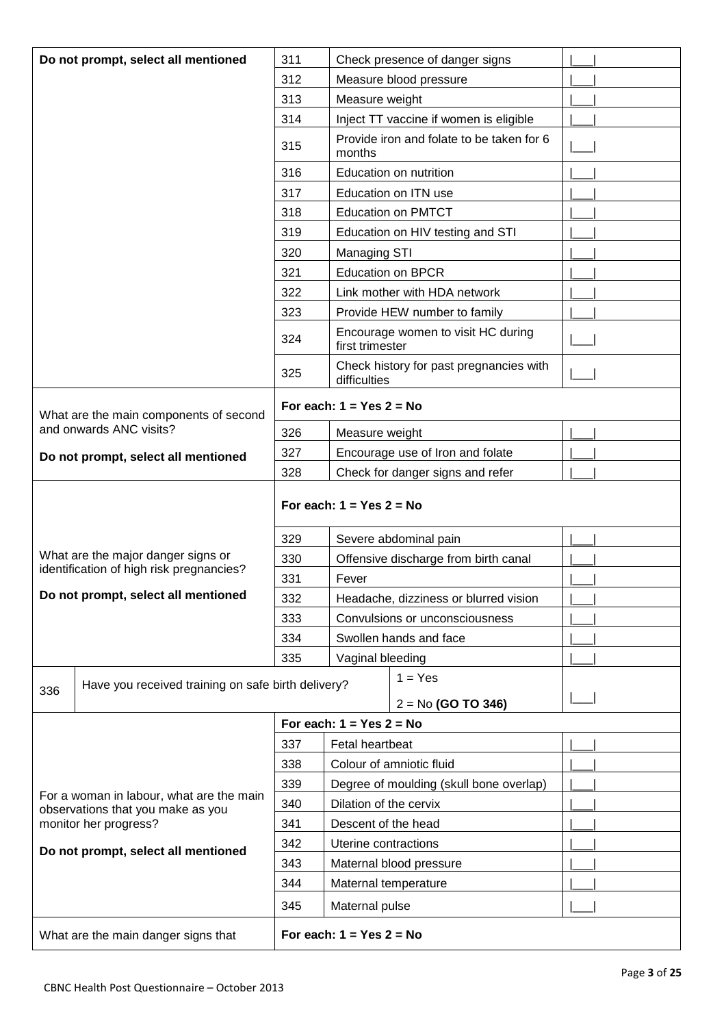|                                                            | Do not prompt, select all mentioned                | 311 | Check presence of danger signs                          |  |
|------------------------------------------------------------|----------------------------------------------------|-----|---------------------------------------------------------|--|
|                                                            |                                                    | 312 | Measure blood pressure                                  |  |
|                                                            |                                                    | 313 | Measure weight                                          |  |
|                                                            |                                                    | 314 | Inject TT vaccine if women is eligible                  |  |
|                                                            |                                                    | 315 | Provide iron and folate to be taken for 6<br>months     |  |
|                                                            |                                                    | 316 | Education on nutrition                                  |  |
|                                                            |                                                    | 317 | Education on ITN use                                    |  |
|                                                            |                                                    | 318 | <b>Education on PMTCT</b>                               |  |
|                                                            |                                                    | 319 | Education on HIV testing and STI                        |  |
|                                                            |                                                    | 320 | Managing STI                                            |  |
|                                                            |                                                    | 321 | <b>Education on BPCR</b>                                |  |
|                                                            |                                                    | 322 | Link mother with HDA network                            |  |
|                                                            |                                                    | 323 | Provide HEW number to family                            |  |
|                                                            |                                                    | 324 | Encourage women to visit HC during<br>first trimester   |  |
|                                                            |                                                    | 325 | Check history for past pregnancies with<br>difficulties |  |
|                                                            | What are the main components of second             |     | For each: $1 = Yes$ 2 = No                              |  |
|                                                            | and onwards ANC visits?                            | 326 | Measure weight                                          |  |
|                                                            | Do not prompt, select all mentioned                | 327 | Encourage use of Iron and folate                        |  |
|                                                            |                                                    | 328 | Check for danger signs and refer                        |  |
| For each: $1 = Yes$ 2 = No                                 |                                                    |     |                                                         |  |
|                                                            |                                                    | 329 | Severe abdominal pain                                   |  |
|                                                            | What are the major danger signs or                 | 330 | Offensive discharge from birth canal                    |  |
|                                                            | identification of high risk pregnancies?           | 331 | Fever                                                   |  |
|                                                            | Do not prompt, select all mentioned                | 332 | Headache, dizziness or blurred vision                   |  |
|                                                            |                                                    | 333 | Convulsions or unconsciousness                          |  |
|                                                            |                                                    | 334 | Swollen hands and face                                  |  |
|                                                            |                                                    | 335 | Vaginal bleeding                                        |  |
|                                                            | Have you received training on safe birth delivery? |     | $1 = Yes$                                               |  |
| 336                                                        |                                                    |     | $2 = No$ (GO TO 346)                                    |  |
|                                                            |                                                    |     | For each: $1 = Yes$ 2 = No                              |  |
|                                                            |                                                    | 337 | Fetal heartbeat                                         |  |
|                                                            |                                                    | 338 | Colour of amniotic fluid                                |  |
|                                                            |                                                    | 339 | Degree of moulding (skull bone overlap)                 |  |
|                                                            | For a woman in labour, what are the main           | 340 | Dilation of the cervix                                  |  |
| observations that you make as you<br>monitor her progress? |                                                    | 341 | Descent of the head                                     |  |
|                                                            |                                                    | 342 | Uterine contractions                                    |  |
| Do not prompt, select all mentioned                        |                                                    | 343 | Maternal blood pressure                                 |  |
|                                                            |                                                    | 344 | Maternal temperature                                    |  |
|                                                            |                                                    |     |                                                         |  |
|                                                            |                                                    | 345 | Maternal pulse                                          |  |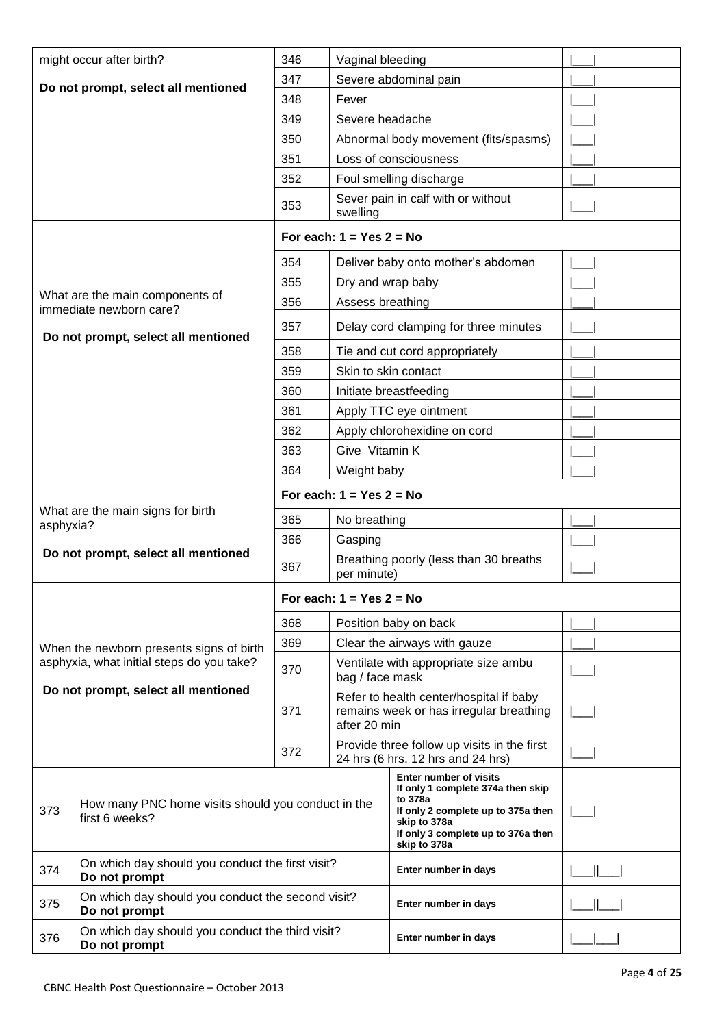|                                                                             | might occur after birth?                                           | 346                        | Vaginal bleeding           |                                                                                                                                                                                           |  |
|-----------------------------------------------------------------------------|--------------------------------------------------------------------|----------------------------|----------------------------|-------------------------------------------------------------------------------------------------------------------------------------------------------------------------------------------|--|
| Do not prompt, select all mentioned                                         |                                                                    | 347                        |                            | Severe abdominal pain                                                                                                                                                                     |  |
|                                                                             |                                                                    | 348                        | Fever                      |                                                                                                                                                                                           |  |
|                                                                             |                                                                    | 349                        | Severe headache            |                                                                                                                                                                                           |  |
|                                                                             |                                                                    | 350                        |                            | Abnormal body movement (fits/spasms)                                                                                                                                                      |  |
|                                                                             |                                                                    | 351                        |                            | Loss of consciousness                                                                                                                                                                     |  |
|                                                                             |                                                                    | 352                        |                            | Foul smelling discharge                                                                                                                                                                   |  |
|                                                                             |                                                                    | 353                        | swelling                   | Sever pain in calf with or without                                                                                                                                                        |  |
|                                                                             |                                                                    |                            | For each: $1 = Yes$ 2 = No |                                                                                                                                                                                           |  |
|                                                                             |                                                                    | 354                        |                            | Deliver baby onto mother's abdomen                                                                                                                                                        |  |
|                                                                             |                                                                    | 355                        | Dry and wrap baby          |                                                                                                                                                                                           |  |
|                                                                             | What are the main components of<br>immediate newborn care?         | 356                        | Assess breathing           |                                                                                                                                                                                           |  |
|                                                                             | Do not prompt, select all mentioned                                | 357                        |                            | Delay cord clamping for three minutes                                                                                                                                                     |  |
|                                                                             |                                                                    | 358                        |                            | Tie and cut cord appropriately                                                                                                                                                            |  |
|                                                                             |                                                                    | 359                        |                            | Skin to skin contact                                                                                                                                                                      |  |
|                                                                             |                                                                    | 360                        |                            | Initiate breastfeeding                                                                                                                                                                    |  |
|                                                                             |                                                                    | 361                        |                            | Apply TTC eye ointment                                                                                                                                                                    |  |
|                                                                             |                                                                    | 362                        |                            | Apply chlorohexidine on cord                                                                                                                                                              |  |
|                                                                             |                                                                    | 363                        | Give Vitamin K             |                                                                                                                                                                                           |  |
|                                                                             |                                                                    | 364                        | Weight baby                |                                                                                                                                                                                           |  |
|                                                                             |                                                                    | For each: $1 = Yes$ 2 = No |                            |                                                                                                                                                                                           |  |
| asphyxia?                                                                   | What are the main signs for birth                                  | 365                        | No breathing               |                                                                                                                                                                                           |  |
|                                                                             |                                                                    | 366                        | Gasping                    |                                                                                                                                                                                           |  |
|                                                                             | Do not prompt, select all mentioned                                | 367                        | per minute)                | Breathing poorly (less than 30 breaths                                                                                                                                                    |  |
|                                                                             |                                                                    |                            | For each: $1 = Yes$ 2 = No |                                                                                                                                                                                           |  |
|                                                                             |                                                                    | 368                        |                            | Position baby on back                                                                                                                                                                     |  |
|                                                                             | When the newborn presents signs of birth                           | 369                        |                            | Clear the airways with gauze                                                                                                                                                              |  |
|                                                                             | asphyxia, what initial steps do you take?                          | 370                        | bag / face mask            | Ventilate with appropriate size ambu                                                                                                                                                      |  |
|                                                                             | Do not prompt, select all mentioned                                | 371                        | after 20 min               | Refer to health center/hospital if baby<br>remains week or has irregular breathing                                                                                                        |  |
|                                                                             |                                                                    | 372                        |                            | Provide three follow up visits in the first<br>24 hrs (6 hrs, 12 hrs and 24 hrs)                                                                                                          |  |
| How many PNC home visits should you conduct in the<br>373<br>first 6 weeks? |                                                                    |                            |                            | <b>Enter number of visits</b><br>If only 1 complete 374a then skip<br>to 378a<br>If only 2 complete up to 375a then<br>skip to 378a<br>If only 3 complete up to 376a then<br>skip to 378a |  |
| 374                                                                         | On which day should you conduct the first visit?<br>Do not prompt  |                            |                            | Enter number in days                                                                                                                                                                      |  |
| 375                                                                         | On which day should you conduct the second visit?<br>Do not prompt |                            |                            | Enter number in days                                                                                                                                                                      |  |
| 376                                                                         | On which day should you conduct the third visit?<br>Do not prompt  |                            | Enter number in days       |                                                                                                                                                                                           |  |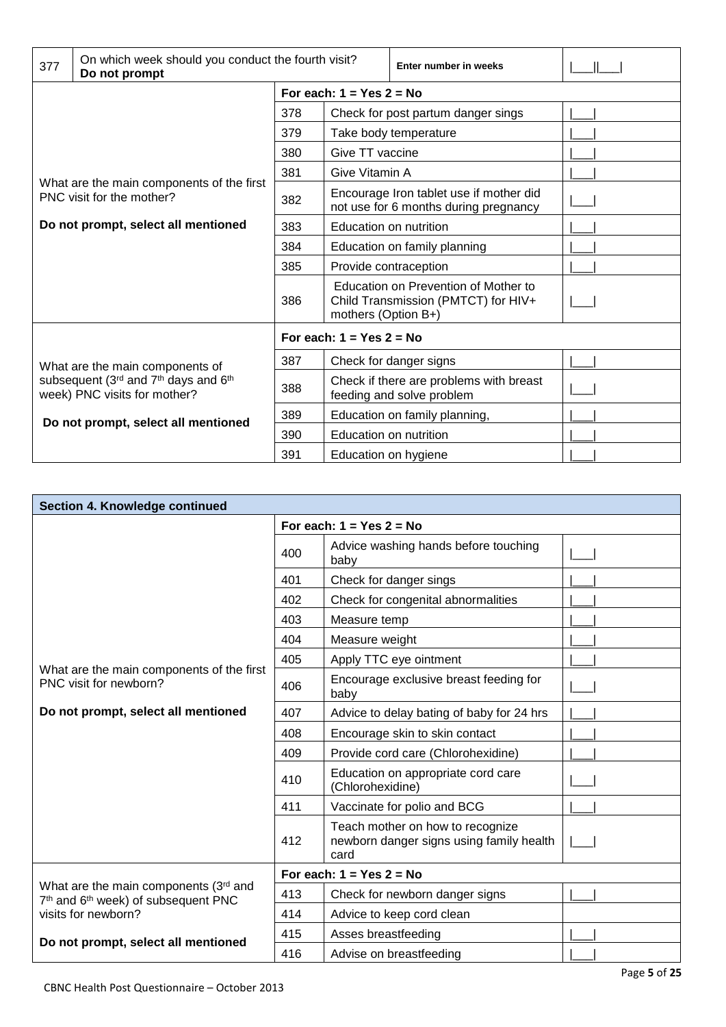| 377                                                                                                           | On which week should you conduct the fourth visit?<br>Do not prompt |     |                                                                                  | Enter number in weeks                                                       |  |  |
|---------------------------------------------------------------------------------------------------------------|---------------------------------------------------------------------|-----|----------------------------------------------------------------------------------|-----------------------------------------------------------------------------|--|--|
|                                                                                                               |                                                                     |     | For each: $1 = Yes$ 2 = No                                                       |                                                                             |  |  |
|                                                                                                               |                                                                     | 378 |                                                                                  | Check for post partum danger sings                                          |  |  |
|                                                                                                               |                                                                     | 379 |                                                                                  | Take body temperature                                                       |  |  |
|                                                                                                               |                                                                     | 380 | Give TT vaccine                                                                  |                                                                             |  |  |
|                                                                                                               |                                                                     | 381 | Give Vitamin A                                                                   |                                                                             |  |  |
| What are the main components of the first<br>PNC visit for the mother?<br>Do not prompt, select all mentioned |                                                                     | 382 | Encourage Iron tablet use if mother did<br>not use for 6 months during pregnancy |                                                                             |  |  |
|                                                                                                               |                                                                     | 383 | Education on nutrition                                                           |                                                                             |  |  |
|                                                                                                               |                                                                     | 384 |                                                                                  | Education on family planning                                                |  |  |
|                                                                                                               |                                                                     | 385 | Provide contraception                                                            |                                                                             |  |  |
|                                                                                                               |                                                                     | 386 | mothers (Option B+)                                                              | Education on Prevention of Mother to<br>Child Transmission (PMTCT) for HIV+ |  |  |
|                                                                                                               |                                                                     |     | For each: $1 = Yes$ 2 = No                                                       |                                                                             |  |  |
|                                                                                                               | What are the main components of                                     | 387 |                                                                                  | Check for danger signs                                                      |  |  |
| subsequent (3rd and 7th days and 6th<br>week) PNC visits for mother?                                          | 388                                                                 |     | Check if there are problems with breast<br>feeding and solve problem             |                                                                             |  |  |
|                                                                                                               | Do not prompt, select all mentioned                                 | 389 |                                                                                  | Education on family planning,                                               |  |  |
|                                                                                                               |                                                                     | 390 | Education on nutrition                                                           |                                                                             |  |  |
|                                                                                                               |                                                                     | 391 | Education on hygiene                                                             |                                                                             |  |  |

| Section 4. Knowledge continued                                                                       |     |                                                                                      |  |  |
|------------------------------------------------------------------------------------------------------|-----|--------------------------------------------------------------------------------------|--|--|
|                                                                                                      |     | For each: $1 = Yes$ 2 = No                                                           |  |  |
|                                                                                                      | 400 | Advice washing hands before touching<br>baby                                         |  |  |
|                                                                                                      | 401 | Check for danger sings                                                               |  |  |
|                                                                                                      | 402 | Check for congenital abnormalities                                                   |  |  |
|                                                                                                      | 403 | Measure temp                                                                         |  |  |
|                                                                                                      | 404 | Measure weight                                                                       |  |  |
|                                                                                                      | 405 | Apply TTC eye ointment                                                               |  |  |
| What are the main components of the first<br>PNC visit for newborn?                                  | 406 | Encourage exclusive breast feeding for<br>baby                                       |  |  |
| Do not prompt, select all mentioned                                                                  | 407 | Advice to delay bating of baby for 24 hrs                                            |  |  |
|                                                                                                      | 408 | Encourage skin to skin contact                                                       |  |  |
|                                                                                                      | 409 | Provide cord care (Chlorohexidine)                                                   |  |  |
|                                                                                                      | 410 | Education on appropriate cord care<br>(Chlorohexidine)                               |  |  |
|                                                                                                      | 411 | Vaccinate for polio and BCG                                                          |  |  |
|                                                                                                      | 412 | Teach mother on how to recognize<br>newborn danger signs using family health<br>card |  |  |
|                                                                                                      |     | For each: $1 = Yes$ 2 = No                                                           |  |  |
| What are the main components (3rd and<br>7 <sup>th</sup> and 6 <sup>th</sup> week) of subsequent PNC | 413 | Check for newborn danger signs                                                       |  |  |
| visits for newborn?                                                                                  | 414 | Advice to keep cord clean                                                            |  |  |
| Do not prompt, select all mentioned                                                                  | 415 | Asses breastfeeding                                                                  |  |  |
|                                                                                                      | 416 | Advise on breastfeeding                                                              |  |  |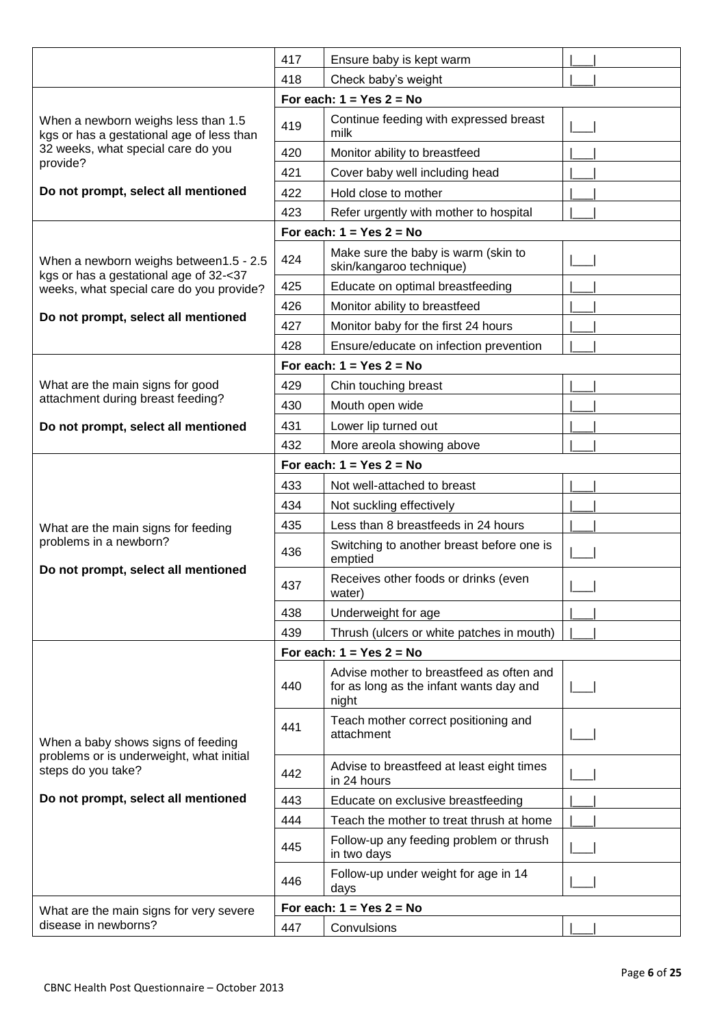|                                                                                  | 417 | Ensure baby is kept warm                                                                     |  |  |
|----------------------------------------------------------------------------------|-----|----------------------------------------------------------------------------------------------|--|--|
|                                                                                  | 418 | Check baby's weight                                                                          |  |  |
| For each: $1 = Yes$ 2 = No                                                       |     |                                                                                              |  |  |
| When a newborn weighs less than 1.5<br>kgs or has a gestational age of less than | 419 | Continue feeding with expressed breast<br>milk                                               |  |  |
| 32 weeks, what special care do you                                               | 420 | Monitor ability to breastfeed                                                                |  |  |
| provide?                                                                         | 421 | Cover baby well including head                                                               |  |  |
| Do not prompt, select all mentioned                                              | 422 | Hold close to mother                                                                         |  |  |
|                                                                                  | 423 | Refer urgently with mother to hospital                                                       |  |  |
|                                                                                  |     | For each: $1 = Yes$ 2 = No                                                                   |  |  |
| When a newborn weighs between1.5 - 2.5<br>kgs or has a gestational age of 32-<37 | 424 | Make sure the baby is warm (skin to<br>skin/kangaroo technique)                              |  |  |
| weeks, what special care do you provide?                                         | 425 | Educate on optimal breastfeeding                                                             |  |  |
|                                                                                  | 426 | Monitor ability to breastfeed                                                                |  |  |
| Do not prompt, select all mentioned                                              | 427 | Monitor baby for the first 24 hours                                                          |  |  |
|                                                                                  | 428 | Ensure/educate on infection prevention                                                       |  |  |
|                                                                                  |     | For each: $1 = Yes$ 2 = No                                                                   |  |  |
| What are the main signs for good                                                 | 429 | Chin touching breast                                                                         |  |  |
| attachment during breast feeding?                                                | 430 | Mouth open wide                                                                              |  |  |
| Do not prompt, select all mentioned                                              | 431 | Lower lip turned out                                                                         |  |  |
|                                                                                  | 432 | More areola showing above                                                                    |  |  |
|                                                                                  |     | For each: $1 = Yes$ 2 = No                                                                   |  |  |
|                                                                                  | 433 | Not well-attached to breast                                                                  |  |  |
|                                                                                  | 434 | Not suckling effectively                                                                     |  |  |
| What are the main signs for feeding                                              | 435 | Less than 8 breastfeeds in 24 hours                                                          |  |  |
| problems in a newborn?                                                           | 436 | Switching to another breast before one is<br>emptied                                         |  |  |
| Do not prompt, select all mentioned                                              | 437 | Receives other foods or drinks (even<br>water)                                               |  |  |
|                                                                                  | 438 | Underweight for age                                                                          |  |  |
|                                                                                  | 439 | Thrush (ulcers or white patches in mouth)                                                    |  |  |
|                                                                                  |     | For each: $1 = Yes$ 2 = No                                                                   |  |  |
|                                                                                  | 440 | Advise mother to breastfeed as often and<br>for as long as the infant wants day and<br>night |  |  |
| When a baby shows signs of feeding                                               | 441 | Teach mother correct positioning and<br>attachment                                           |  |  |
| problems or is underweight, what initial<br>steps do you take?                   | 442 | Advise to breastfeed at least eight times<br>in 24 hours                                     |  |  |
| Do not prompt, select all mentioned                                              | 443 | Educate on exclusive breastfeeding                                                           |  |  |
|                                                                                  | 444 | Teach the mother to treat thrush at home                                                     |  |  |
|                                                                                  | 445 | Follow-up any feeding problem or thrush<br>in two days                                       |  |  |
|                                                                                  | 446 | Follow-up under weight for age in 14<br>days                                                 |  |  |
| What are the main signs for very severe                                          |     | For each: $1 = Yes$ 2 = No                                                                   |  |  |
| disease in newborns?                                                             | 447 | Convulsions                                                                                  |  |  |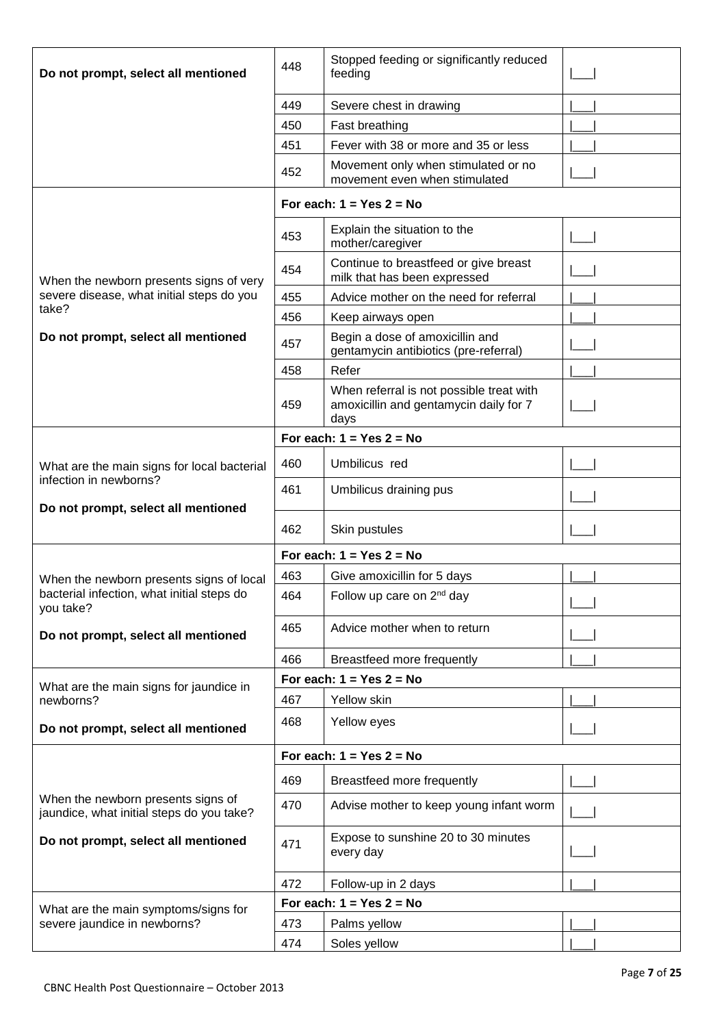| Do not prompt, select all mentioned                                             | 448 | Stopped feeding or significantly reduced<br>feeding                                        |  |
|---------------------------------------------------------------------------------|-----|--------------------------------------------------------------------------------------------|--|
|                                                                                 | 449 | Severe chest in drawing                                                                    |  |
|                                                                                 | 450 | Fast breathing                                                                             |  |
|                                                                                 | 451 | Fever with 38 or more and 35 or less                                                       |  |
|                                                                                 | 452 | Movement only when stimulated or no<br>movement even when stimulated                       |  |
|                                                                                 |     | For each: $1 = Yes$ 2 = No                                                                 |  |
|                                                                                 | 453 | Explain the situation to the<br>mother/caregiver                                           |  |
| When the newborn presents signs of very                                         | 454 | Continue to breastfeed or give breast<br>milk that has been expressed                      |  |
| severe disease, what initial steps do you                                       | 455 | Advice mother on the need for referral                                                     |  |
| take?                                                                           | 456 | Keep airways open                                                                          |  |
| Do not prompt, select all mentioned                                             | 457 | Begin a dose of amoxicillin and<br>gentamycin antibiotics (pre-referral)                   |  |
|                                                                                 | 458 | Refer                                                                                      |  |
|                                                                                 | 459 | When referral is not possible treat with<br>amoxicillin and gentamycin daily for 7<br>days |  |
|                                                                                 |     | For each: $1 = Yes$ 2 = No                                                                 |  |
| What are the main signs for local bacterial                                     | 460 | Umbilicus red                                                                              |  |
| infection in newborns?<br>Do not prompt, select all mentioned                   | 461 | Umbilicus draining pus                                                                     |  |
|                                                                                 | 462 | Skin pustules                                                                              |  |
|                                                                                 |     | For each: $1 = Yes$ 2 = No                                                                 |  |
| When the newborn presents signs of local                                        | 463 | Give amoxicillin for 5 days                                                                |  |
|                                                                                 |     |                                                                                            |  |
| bacterial infection, what initial steps do<br>you take?                         | 464 | Follow up care on 2 <sup>nd</sup> day                                                      |  |
| Do not prompt, select all mentioned                                             | 465 | Advice mother when to return                                                               |  |
|                                                                                 | 466 | Breastfeed more frequently                                                                 |  |
|                                                                                 |     | For each: $1 = Yes$ 2 = No                                                                 |  |
| What are the main signs for jaundice in<br>newborns?                            | 467 | Yellow skin                                                                                |  |
| Do not prompt, select all mentioned                                             | 468 | Yellow eyes                                                                                |  |
|                                                                                 |     | For each: $1 = Yes$ 2 = No                                                                 |  |
|                                                                                 | 469 | Breastfeed more frequently                                                                 |  |
| When the newborn presents signs of<br>jaundice, what initial steps do you take? | 470 | Advise mother to keep young infant worm                                                    |  |
| Do not prompt, select all mentioned                                             | 471 | Expose to sunshine 20 to 30 minutes<br>every day                                           |  |
|                                                                                 | 472 | Follow-up in 2 days                                                                        |  |
| What are the main symptoms/signs for                                            |     | For each: $1 = Yes$ 2 = No                                                                 |  |
| severe jaundice in newborns?                                                    | 473 | Palms yellow                                                                               |  |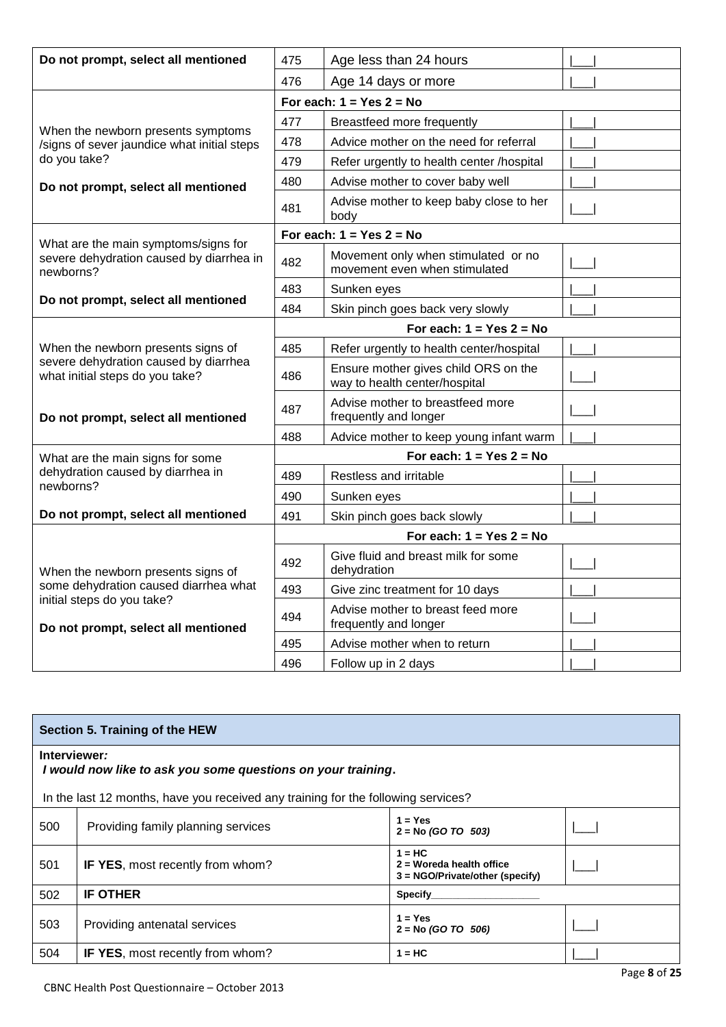| Do not prompt, select all mentioned                                      | 475                        | Age less than 24 hours                                                |  |  |  |
|--------------------------------------------------------------------------|----------------------------|-----------------------------------------------------------------------|--|--|--|
|                                                                          | 476                        | Age 14 days or more                                                   |  |  |  |
|                                                                          |                            | For each: $1 = Yes$ 2 = No                                            |  |  |  |
| When the newborn presents symptoms                                       | 477                        | Breastfeed more frequently                                            |  |  |  |
| /signs of sever jaundice what initial steps                              | 478                        | Advice mother on the need for referral                                |  |  |  |
| do you take?                                                             | 479                        | Refer urgently to health center /hospital                             |  |  |  |
| Do not prompt, select all mentioned                                      | 480                        | Advise mother to cover baby well                                      |  |  |  |
|                                                                          | 481                        | Advise mother to keep baby close to her<br>body                       |  |  |  |
| What are the main symptoms/signs for                                     |                            | For each: $1 = Yes$ 2 = No                                            |  |  |  |
| severe dehydration caused by diarrhea in<br>newborns?                    | 482                        | Movement only when stimulated or no<br>movement even when stimulated  |  |  |  |
|                                                                          | 483                        | Sunken eyes                                                           |  |  |  |
| Do not prompt, select all mentioned                                      | 484                        | Skin pinch goes back very slowly                                      |  |  |  |
|                                                                          | For each: $1 = Yes$ 2 = No |                                                                       |  |  |  |
| When the newborn presents signs of                                       | 485                        | Refer urgently to health center/hospital                              |  |  |  |
| severe dehydration caused by diarrhea<br>what initial steps do you take? | 486                        | Ensure mother gives child ORS on the<br>way to health center/hospital |  |  |  |
| Do not prompt, select all mentioned                                      | 487                        | Advise mother to breastfeed more<br>frequently and longer             |  |  |  |
|                                                                          | 488                        | Advice mother to keep young infant warm                               |  |  |  |
| What are the main signs for some                                         | For each: $1 = Yes$ 2 = No |                                                                       |  |  |  |
| dehydration caused by diarrhea in<br>newborns?                           | 489                        | Restless and irritable                                                |  |  |  |
|                                                                          | 490                        | Sunken eyes                                                           |  |  |  |
| Do not prompt, select all mentioned                                      | 491                        | Skin pinch goes back slowly                                           |  |  |  |
|                                                                          |                            | For each: $1 = Yes$ 2 = No                                            |  |  |  |
| When the newborn presents signs of                                       | 492                        | Give fluid and breast milk for some<br>dehydration                    |  |  |  |
| some dehydration caused diarrhea what                                    | 493                        | Give zinc treatment for 10 days                                       |  |  |  |
| initial steps do you take?<br>Do not prompt, select all mentioned        | 494                        | Advise mother to breast feed more<br>frequently and longer            |  |  |  |
|                                                                          | 495                        | Advise mother when to return                                          |  |  |  |
|                                                                          | 496                        | Follow up in 2 days                                                   |  |  |  |

| Section 5. Training of the HEW                                               |                                                                                   |                                                                           |  |  |  |
|------------------------------------------------------------------------------|-----------------------------------------------------------------------------------|---------------------------------------------------------------------------|--|--|--|
| Interviewer:<br>I would now like to ask you some questions on your training. |                                                                                   |                                                                           |  |  |  |
|                                                                              | In the last 12 months, have you received any training for the following services? |                                                                           |  |  |  |
| 500                                                                          | Providing family planning services                                                | $1 = Yes$<br>$2 = No$ (GO TO 503)                                         |  |  |  |
| 501                                                                          | <b>IF YES, most recently from whom?</b>                                           | $1 = HC$<br>$2$ = Woreda health office<br>3 = NGO/Private/other (specify) |  |  |  |
| 502                                                                          | <b>IF OTHER</b>                                                                   | Specify                                                                   |  |  |  |
| 503                                                                          | Providing antenatal services                                                      | $1 = Yes$<br>$2 = No$ (GO TO 506)                                         |  |  |  |
| 504                                                                          | IF YES, most recently from whom?                                                  | $1 = HC$                                                                  |  |  |  |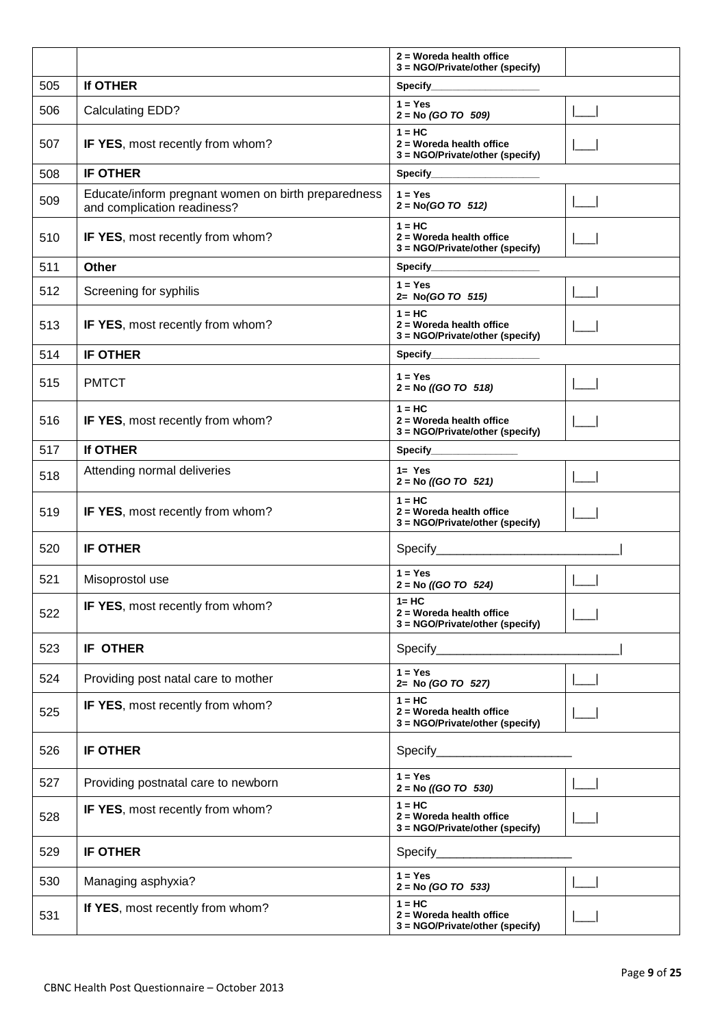|     |                                                                                    | $2$ = Woreda health office<br>3 = NGO/Private/other (specify)              |  |
|-----|------------------------------------------------------------------------------------|----------------------------------------------------------------------------|--|
| 505 | If OTHER                                                                           | Specify_____________                                                       |  |
| 506 | Calculating EDD?                                                                   | $1 = Yes$<br>$2 = No (GO TO 509)$                                          |  |
| 507 | IF YES, most recently from whom?                                                   | $1 = HC$<br>2 = Woreda health office<br>3 = NGO/Private/other (specify)    |  |
| 508 | <b>IF OTHER</b>                                                                    | Specify_                                                                   |  |
| 509 | Educate/inform pregnant women on birth preparedness<br>and complication readiness? | $1 = Yes$<br>$2 = No(GO TO 512)$                                           |  |
| 510 | IF YES, most recently from whom?                                                   | $1 = HC$<br>2 = Woreda health office<br>3 = NGO/Private/other (specify)    |  |
| 511 | <b>Other</b>                                                                       | Specify______________                                                      |  |
| 512 | Screening for syphilis                                                             | $1 = Yes$<br>2= No(GO TO 515)                                              |  |
| 513 | IF YES, most recently from whom?                                                   | $1 = HC$<br>$2 = W$ oreda health office<br>3 = NGO/Private/other (specify) |  |
| 514 | <b>IF OTHER</b>                                                                    | Specify______________                                                      |  |
| 515 | <b>PMTCT</b>                                                                       | $1 = Yes$<br>$2 = No ((GO TO 518))$                                        |  |
| 516 | IF YES, most recently from whom?                                                   | $1 = HC$<br>2 = Woreda health office<br>3 = NGO/Private/other (specify)    |  |
| 517 | If OTHER                                                                           | Specify____________                                                        |  |
| 518 | Attending normal deliveries                                                        | $1 = Yes$<br>$2 = No ((GO TO 521)$                                         |  |
| 519 | IF YES, most recently from whom?                                                   | $1 = HC$<br>2 = Woreda health office<br>3 = NGO/Private/other (specify)    |  |
| 520 | <b>IF OTHER</b>                                                                    | Specify______________________                                              |  |
| 521 | Misoprostol use                                                                    | $1 = Yes$<br>$2 = No ((GO TO 524)$                                         |  |
| 522 | IF YES, most recently from whom?                                                   | $1 = HC$<br>2 = Woreda health office<br>3 = NGO/Private/other (specify)    |  |
| 523 | <b>IF OTHER</b>                                                                    |                                                                            |  |
| 524 | Providing post natal care to mother                                                | $1 = Yes$<br>2= No (GO TO 527)                                             |  |
| 525 | IF YES, most recently from whom?                                                   | $1 = HC$<br>2 = Woreda health office<br>3 = NGO/Private/other (specify)    |  |
| 526 | <b>IF OTHER</b>                                                                    | Specify___________________________                                         |  |
| 527 | Providing postnatal care to newborn                                                | $1 = Yes$<br>$2 = No ((GO TO 530)$                                         |  |
| 528 | IF YES, most recently from whom?                                                   | $1 = HC$<br>2 = Woreda health office<br>3 = NGO/Private/other (specify)    |  |
| 529 | <b>IF OTHER</b>                                                                    | Specify__________________________                                          |  |
| 530 | Managing asphyxia?                                                                 | $1 = Yes$<br>$2 = No (GO TO 533)$                                          |  |
| 531 | If YES, most recently from whom?                                                   | $1 = HC$<br>2 = Woreda health office<br>3 = NGO/Private/other (specify)    |  |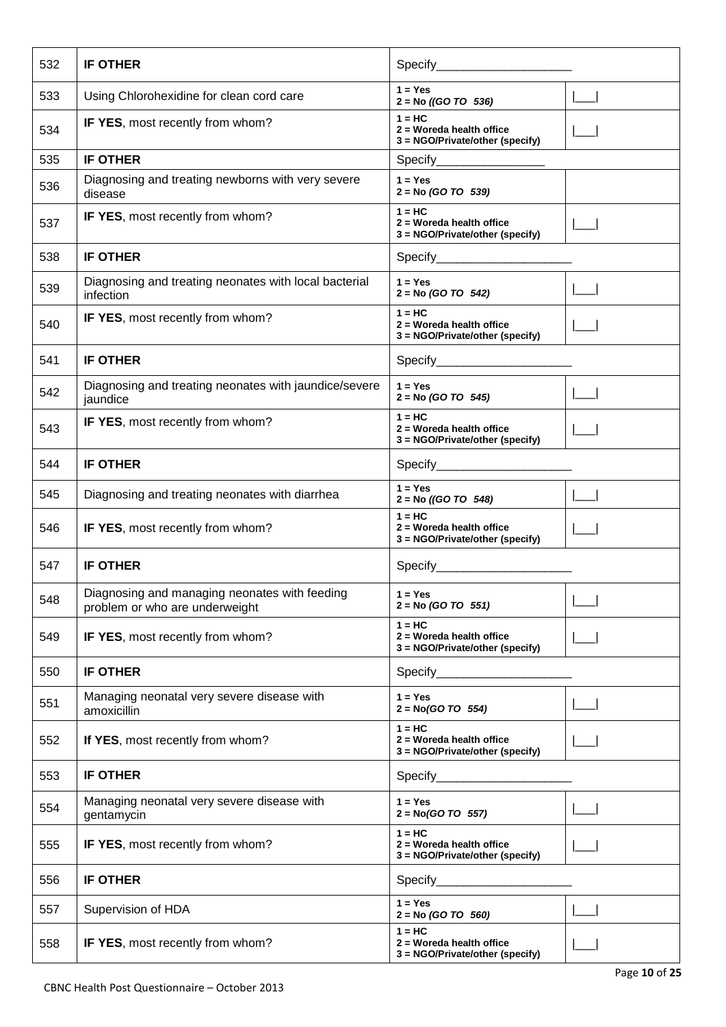| 532 | <b>IF OTHER</b>                                                                 |                                                                            |  |
|-----|---------------------------------------------------------------------------------|----------------------------------------------------------------------------|--|
| 533 | Using Chlorohexidine for clean cord care                                        | $1 = Yes$<br>$2 = No ((GO TO 536)$                                         |  |
| 534 | IF YES, most recently from whom?                                                | $1 = HC$<br>$2$ = Woreda health office<br>3 = NGO/Private/other (specify)  |  |
| 535 | <b>IF OTHER</b>                                                                 | Specify________________                                                    |  |
| 536 | Diagnosing and treating newborns with very severe<br>disease                    | $1 = Yes$<br>$2 = No (GO TO 539)$                                          |  |
| 537 | IF YES, most recently from whom?                                                | $1 = HC$<br>2 = Woreda health office<br>3 = NGO/Private/other (specify)    |  |
| 538 | <b>IF OTHER</b>                                                                 | Specify__________________________                                          |  |
| 539 | Diagnosing and treating neonates with local bacterial<br>infection              | $1 = Yes$<br>$2 = No (GO TO 542)$                                          |  |
| 540 | IF YES, most recently from whom?                                                | $1 = HC$<br>2 = Woreda health office<br>3 = NGO/Private/other (specify)    |  |
| 541 | <b>IF OTHER</b>                                                                 |                                                                            |  |
| 542 | Diagnosing and treating neonates with jaundice/severe<br>jaundice               | $1 = Yes$<br>$2 = No (GO TO 545)$                                          |  |
| 543 | IF YES, most recently from whom?                                                | $1 = HC$<br>2 = Woreda health office<br>3 = NGO/Private/other (specify)    |  |
| 544 | <b>IF OTHER</b>                                                                 |                                                                            |  |
| 545 | Diagnosing and treating neonates with diarrhea                                  | $1 = Yes$<br>$2 = No ((GO TO 548)$                                         |  |
| 546 | IF YES, most recently from whom?                                                | $1 = HC$<br>2 = Woreda health office<br>3 = NGO/Private/other (specify)    |  |
| 547 | <b>IF OTHER</b>                                                                 |                                                                            |  |
| 548 | Diagnosing and managing neonates with feeding<br>problem or who are underweight | $1 = Yes$<br>$2 = No (GO TO 551)$                                          |  |
| 549 | IF YES, most recently from whom?                                                | $1 = HC$<br>2 = Woreda health office<br>3 = NGO/Private/other (specify)    |  |
| 550 | <b>IF OTHER</b>                                                                 |                                                                            |  |
| 551 | Managing neonatal very severe disease with<br>amoxicillin                       | $1 = Yes$<br>$2 = No(GO TO 554)$                                           |  |
| 552 | If YES, most recently from whom?                                                | $1 = HC$<br>$2 = W$ oreda health office<br>3 = NGO/Private/other (specify) |  |
| 553 | <b>IF OTHER</b>                                                                 | Specify_______________________                                             |  |
| 554 | Managing neonatal very severe disease with<br>gentamycin                        | $1 = Yes$<br>$2 = No(GO TO 557)$                                           |  |
| 555 | IF YES, most recently from whom?                                                | $1 = HC$<br>2 = Woreda health office<br>3 = NGO/Private/other (specify)    |  |
| 556 | <b>IF OTHER</b>                                                                 | Specify                                                                    |  |
| 557 | Supervision of HDA                                                              | $1 = Yes$<br>$2 = No (GO TO 560)$                                          |  |
| 558 | IF YES, most recently from whom?                                                | $1 = HC$<br>2 = Woreda health office<br>3 = NGO/Private/other (specify)    |  |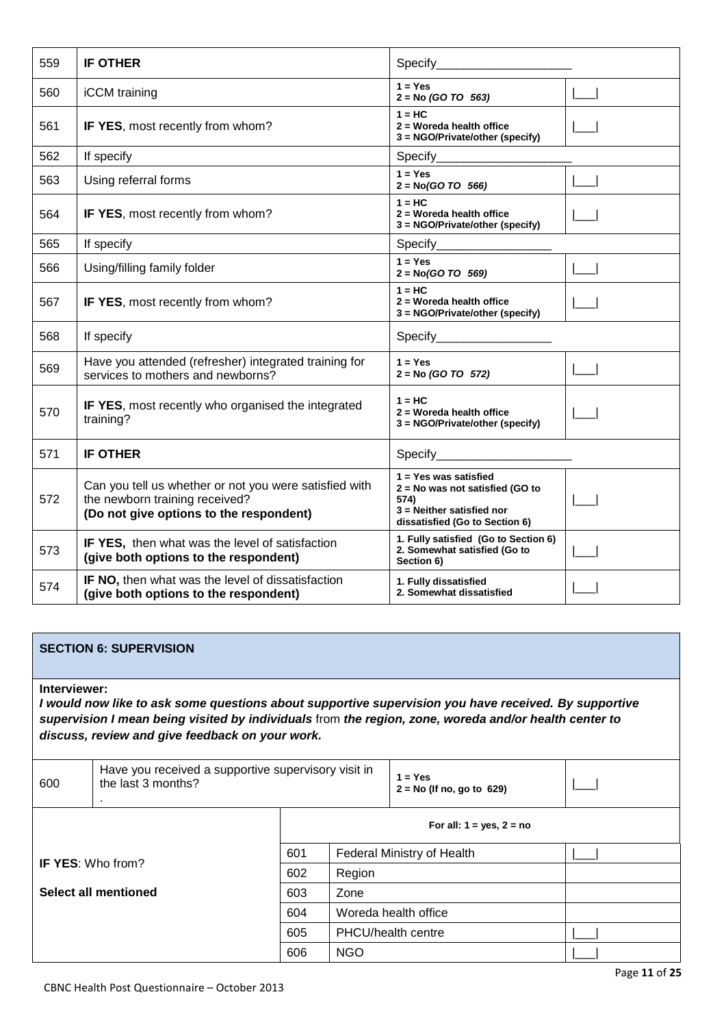| 559 | <b>IF OTHER</b>                                                                                                                     |                                                                                                                                   |  |
|-----|-------------------------------------------------------------------------------------------------------------------------------------|-----------------------------------------------------------------------------------------------------------------------------------|--|
| 560 | iCCM training                                                                                                                       | $1 = Yes$<br>$2 = No (GO TO 563)$                                                                                                 |  |
| 561 | IF YES, most recently from whom?                                                                                                    | $1 = HC$<br>2 = Woreda health office<br>3 = NGO/Private/other (specify)                                                           |  |
| 562 | If specify                                                                                                                          | Specify________________                                                                                                           |  |
| 563 | Using referral forms                                                                                                                | $1 = Yes$<br>$2 = No(GO TO 566)$                                                                                                  |  |
| 564 | IF YES, most recently from whom?                                                                                                    | $1 = HC$<br>2 = Woreda health office<br>3 = NGO/Private/other (specify)                                                           |  |
| 565 | If specify                                                                                                                          |                                                                                                                                   |  |
| 566 | Using/filling family folder                                                                                                         | $1 = Yes$<br>$2 = No(GO TO 569)$                                                                                                  |  |
| 567 | IF YES, most recently from whom?                                                                                                    | $1 = HC$<br>2 = Woreda health office<br>3 = NGO/Private/other (specify)                                                           |  |
| 568 | If specify                                                                                                                          | Specify_____________________                                                                                                      |  |
| 569 | Have you attended (refresher) integrated training for<br>services to mothers and newborns?                                          | $1 = Yes$<br>$2 = No (GO TO 572)$                                                                                                 |  |
| 570 | IF YES, most recently who organised the integrated<br>training?                                                                     | $1 = HC$<br>2 = Woreda health office<br>3 = NGO/Private/other (specify)                                                           |  |
| 571 | <b>IF OTHER</b>                                                                                                                     | Specify_______________________                                                                                                    |  |
| 572 | Can you tell us whether or not you were satisfied with<br>the newborn training received?<br>(Do not give options to the respondent) | $1 = Yes$ was satisfied<br>2 = No was not satisfied (GO to<br>574)<br>3 = Neither satisfied nor<br>dissatisfied (Go to Section 6) |  |
| 573 | <b>IF YES, then what was the level of satisfaction</b><br>(give both options to the respondent)                                     | 1. Fully satisfied (Go to Section 6)<br>2. Somewhat satisfied (Go to<br>Section 6)                                                |  |
| 574 | IF NO, then what was the level of dissatisfaction<br>(give both options to the respondent)                                          | 1. Fully dissatisfied<br>2. Somewhat dissatisfied                                                                                 |  |

### **SECTION 6: SUPERVISION**

#### **Interviewer:**

*I would now like to ask some questions about supportive supervision you have received. By supportive supervision I mean being visited by individuals* from *the region, zone, woreda and/or health center to discuss, review and give feedback on your work.*

| 600                      | Have you received a supportive supervisory visit in<br>the last 3 months? |                               |                            | $1 = Yes$<br>$2 = No$ (If no, go to 629) |  |
|--------------------------|---------------------------------------------------------------------------|-------------------------------|----------------------------|------------------------------------------|--|
|                          |                                                                           | For all: $1 = yes$ , $2 = no$ |                            |                                          |  |
| <b>IF YES: Who from?</b> |                                                                           | 601                           | Federal Ministry of Health |                                          |  |
|                          |                                                                           | 602                           | Region                     |                                          |  |
|                          | Select all mentioned                                                      | 603                           | Zone                       |                                          |  |
|                          |                                                                           | 604                           | Woreda health office       |                                          |  |
|                          |                                                                           | 605                           | PHCU/health centre         |                                          |  |
|                          |                                                                           | 606                           | <b>NGO</b>                 |                                          |  |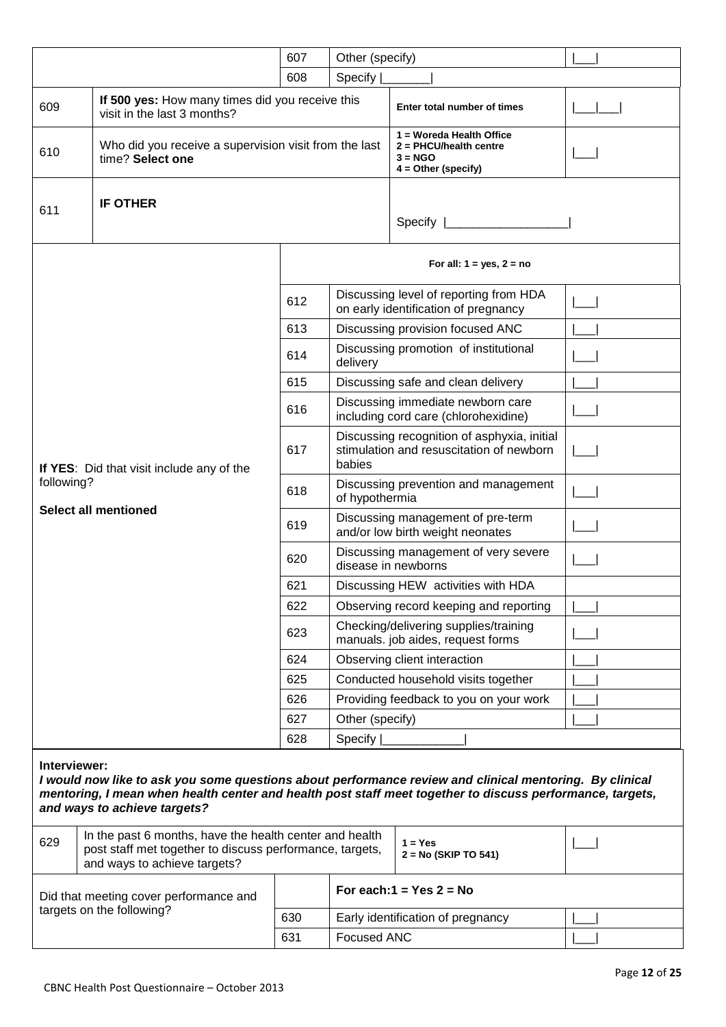|                                                                                                                                                                                                                                                                      |                                                                                                                                                     |     | Other (specify)                                                                                   |                                                                                              |  |
|----------------------------------------------------------------------------------------------------------------------------------------------------------------------------------------------------------------------------------------------------------------------|-----------------------------------------------------------------------------------------------------------------------------------------------------|-----|---------------------------------------------------------------------------------------------------|----------------------------------------------------------------------------------------------|--|
|                                                                                                                                                                                                                                                                      |                                                                                                                                                     | 608 | Specify                                                                                           |                                                                                              |  |
| 609                                                                                                                                                                                                                                                                  | If 500 yes: How many times did you receive this<br>visit in the last 3 months?                                                                      |     |                                                                                                   | Enter total number of times                                                                  |  |
| 610                                                                                                                                                                                                                                                                  | Who did you receive a supervision visit from the last<br>time? Select one                                                                           |     |                                                                                                   | 1 = Woreda Health Office<br>$2 = PHCU/$ health centre<br>$3 = NGO$<br>$4 = Other (specific)$ |  |
| 611                                                                                                                                                                                                                                                                  | <b>IF OTHER</b>                                                                                                                                     |     | Specify                                                                                           |                                                                                              |  |
|                                                                                                                                                                                                                                                                      |                                                                                                                                                     |     |                                                                                                   | For all: $1 = yes$ , $2 = no$                                                                |  |
|                                                                                                                                                                                                                                                                      |                                                                                                                                                     | 612 |                                                                                                   | Discussing level of reporting from HDA<br>on early identification of pregnancy               |  |
|                                                                                                                                                                                                                                                                      |                                                                                                                                                     |     |                                                                                                   | Discussing provision focused ANC                                                             |  |
|                                                                                                                                                                                                                                                                      |                                                                                                                                                     | 614 | delivery                                                                                          | Discussing promotion of institutional                                                        |  |
|                                                                                                                                                                                                                                                                      |                                                                                                                                                     | 615 |                                                                                                   | Discussing safe and clean delivery                                                           |  |
|                                                                                                                                                                                                                                                                      |                                                                                                                                                     | 616 |                                                                                                   | Discussing immediate newborn care<br>including cord care (chlorohexidine)                    |  |
|                                                                                                                                                                                                                                                                      | If YES: Did that visit include any of the                                                                                                           | 617 | Discussing recognition of asphyxia, initial<br>stimulation and resuscitation of newborn<br>babies |                                                                                              |  |
| following?                                                                                                                                                                                                                                                           |                                                                                                                                                     | 618 | Discussing prevention and management<br>of hypothermia                                            |                                                                                              |  |
|                                                                                                                                                                                                                                                                      | <b>Select all mentioned</b>                                                                                                                         | 619 | Discussing management of pre-term<br>and/or low birth weight neonates                             |                                                                                              |  |
|                                                                                                                                                                                                                                                                      |                                                                                                                                                     | 620 | Discussing management of very severe<br>disease in newborns                                       |                                                                                              |  |
|                                                                                                                                                                                                                                                                      |                                                                                                                                                     | 621 | Discussing HEW activities with HDA                                                                |                                                                                              |  |
|                                                                                                                                                                                                                                                                      |                                                                                                                                                     | 622 | Observing record keeping and reporting                                                            |                                                                                              |  |
|                                                                                                                                                                                                                                                                      |                                                                                                                                                     | 623 | Checking/delivering supplies/training<br>manuals. job aides, request forms                        |                                                                                              |  |
|                                                                                                                                                                                                                                                                      |                                                                                                                                                     | 624 |                                                                                                   | Observing client interaction                                                                 |  |
|                                                                                                                                                                                                                                                                      |                                                                                                                                                     | 625 |                                                                                                   | Conducted household visits together                                                          |  |
|                                                                                                                                                                                                                                                                      |                                                                                                                                                     | 626 |                                                                                                   | Providing feedback to you on your work                                                       |  |
|                                                                                                                                                                                                                                                                      |                                                                                                                                                     | 627 | Other (specify)                                                                                   |                                                                                              |  |
|                                                                                                                                                                                                                                                                      |                                                                                                                                                     | 628 | Specify                                                                                           |                                                                                              |  |
| Interviewer:<br>I would now like to ask you some questions about performance review and clinical mentoring. By clinical<br>mentoring, I mean when health center and health post staff meet together to discuss performance, targets,<br>and ways to achieve targets? |                                                                                                                                                     |     |                                                                                                   |                                                                                              |  |
| 629                                                                                                                                                                                                                                                                  | In the past 6 months, have the health center and health<br>post staff met together to discuss performance, targets,<br>and ways to achieve targets? |     |                                                                                                   | $1 = Yes$<br>$2 = No (SKIP TO 541)$                                                          |  |
|                                                                                                                                                                                                                                                                      | Did that meeting cover performance and                                                                                                              |     |                                                                                                   | For each: $1 = Yes$ 2 = No                                                                   |  |
|                                                                                                                                                                                                                                                                      | targets on the following?                                                                                                                           | 630 |                                                                                                   | Early identification of pregnancy                                                            |  |
|                                                                                                                                                                                                                                                                      |                                                                                                                                                     | 631 | <b>Focused ANC</b>                                                                                |                                                                                              |  |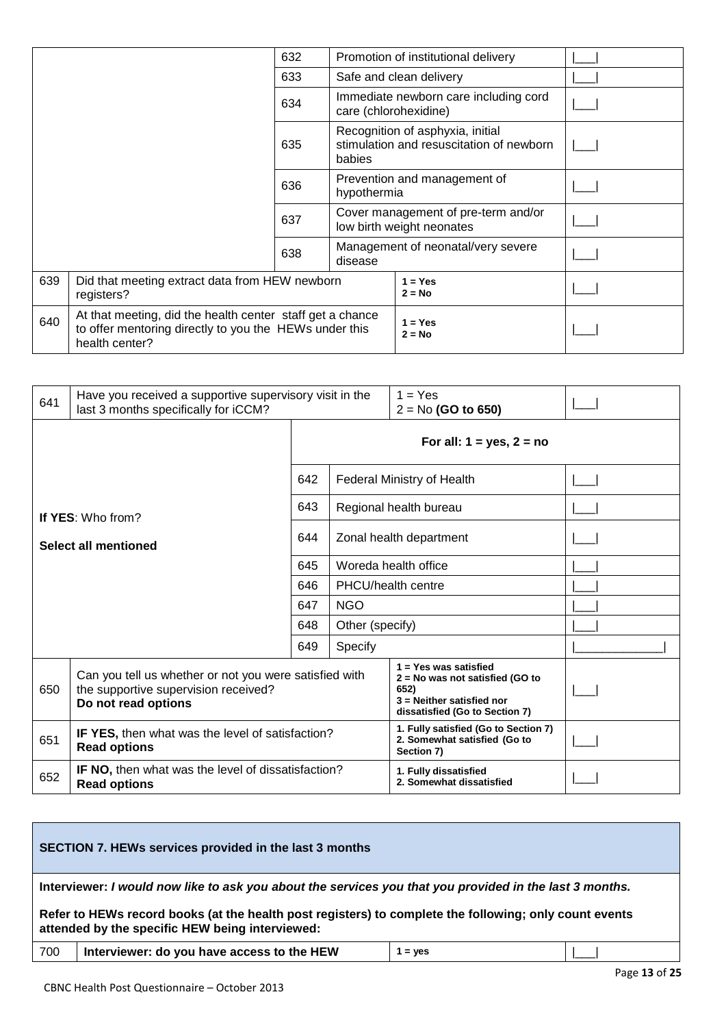|     |                                                                                                                                       | 632                                           |                       | Promotion of institutional delivery                                          |  |
|-----|---------------------------------------------------------------------------------------------------------------------------------------|-----------------------------------------------|-----------------------|------------------------------------------------------------------------------|--|
|     |                                                                                                                                       | 633                                           |                       | Safe and clean delivery                                                      |  |
|     |                                                                                                                                       | 634                                           | care (chlorohexidine) | Immediate newborn care including cord                                        |  |
|     |                                                                                                                                       | 635                                           | babies                | Recognition of asphyxia, initial<br>stimulation and resuscitation of newborn |  |
|     |                                                                                                                                       | 636                                           | hypothermia           | Prevention and management of                                                 |  |
|     |                                                                                                                                       | 637                                           |                       | Cover management of pre-term and/or<br>low birth weight neonates             |  |
| 638 |                                                                                                                                       | Management of neonatal/very severe<br>disease |                       |                                                                              |  |
| 639 | Did that meeting extract data from HEW newborn<br>registers?                                                                          |                                               |                       | $1 = Yes$<br>$2 = No$                                                        |  |
| 640 | At that meeting, did the health center staff get a chance<br>to offer mentoring directly to you the HEWs under this<br>health center? |                                               |                       | $1 = Yes$<br>$2 = No$                                                        |  |

| 641                                                                                     | Have you received a supportive supervisory visit in the<br>last 3 months specifically for iCCM?                       |     |                                                   | $1 = Yes$<br>$2 = No$ (GO to 650)                                                                                                 |  |  |  |
|-----------------------------------------------------------------------------------------|-----------------------------------------------------------------------------------------------------------------------|-----|---------------------------------------------------|-----------------------------------------------------------------------------------------------------------------------------------|--|--|--|
|                                                                                         |                                                                                                                       |     | For all: $1 = yes$ , $2 = no$                     |                                                                                                                                   |  |  |  |
|                                                                                         |                                                                                                                       | 642 |                                                   | <b>Federal Ministry of Health</b>                                                                                                 |  |  |  |
|                                                                                         | If YES: Who from?                                                                                                     | 643 |                                                   | Regional health bureau                                                                                                            |  |  |  |
| Select all mentioned                                                                    |                                                                                                                       | 644 |                                                   | Zonal health department                                                                                                           |  |  |  |
|                                                                                         |                                                                                                                       |     |                                                   | Woreda health office                                                                                                              |  |  |  |
|                                                                                         |                                                                                                                       | 646 | PHCU/health centre                                |                                                                                                                                   |  |  |  |
|                                                                                         |                                                                                                                       | 647 | <b>NGO</b>                                        |                                                                                                                                   |  |  |  |
|                                                                                         |                                                                                                                       | 648 | Other (specify)                                   |                                                                                                                                   |  |  |  |
|                                                                                         |                                                                                                                       | 649 | Specify                                           |                                                                                                                                   |  |  |  |
| 650                                                                                     | Can you tell us whether or not you were satisfied with<br>the supportive supervision received?<br>Do not read options |     |                                                   | $1 = Yes$ was satisfied<br>2 = No was not satisfied (GO to<br>652)<br>3 = Neither satisfied nor<br>dissatisfied (Go to Section 7) |  |  |  |
| 651                                                                                     | IF YES, then what was the level of satisfaction?<br><b>Read options</b>                                               |     |                                                   | 1. Fully satisfied (Go to Section 7)<br>2. Somewhat satisfied (Go to<br>Section 7)                                                |  |  |  |
| <b>IF NO, then what was the level of dissatisfaction?</b><br>652<br><b>Read options</b> |                                                                                                                       |     | 1. Fully dissatisfied<br>2. Somewhat dissatisfied |                                                                                                                                   |  |  |  |

| SECTION 7. HEWs services provided in the last 3 months                                                                                                    |                                                                                                         |  |  |  |  |  |  |
|-----------------------------------------------------------------------------------------------------------------------------------------------------------|---------------------------------------------------------------------------------------------------------|--|--|--|--|--|--|
|                                                                                                                                                           | Interviewer: I would now like to ask you about the services you that you provided in the last 3 months. |  |  |  |  |  |  |
| Refer to HEWs record books (at the health post registers) to complete the following; only count events<br>attended by the specific HEW being interviewed: |                                                                                                         |  |  |  |  |  |  |
| Interviewer: do you have access to the HEW<br>700<br>$1 = yes$                                                                                            |                                                                                                         |  |  |  |  |  |  |
|                                                                                                                                                           | .                                                                                                       |  |  |  |  |  |  |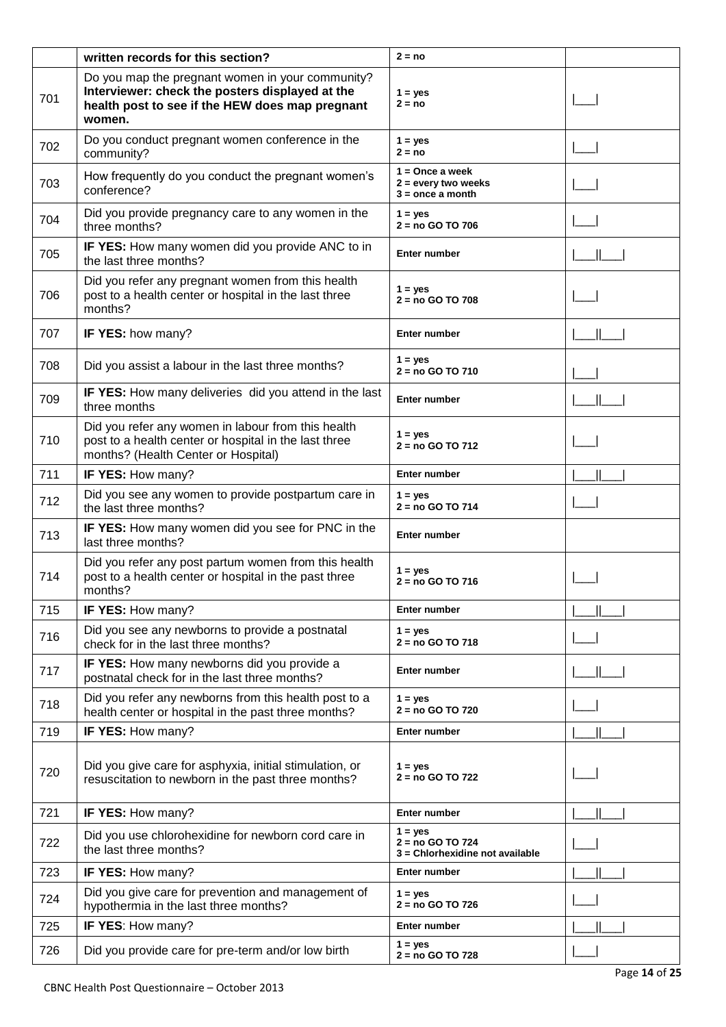|     | written records for this section?                                                                                                                                | $2 = no$                                                         |  |
|-----|------------------------------------------------------------------------------------------------------------------------------------------------------------------|------------------------------------------------------------------|--|
| 701 | Do you map the pregnant women in your community?<br>Interviewer: check the posters displayed at the<br>health post to see if the HEW does map pregnant<br>women. | $1 = yes$<br>$2 = no$                                            |  |
| 702 | Do you conduct pregnant women conference in the<br>community?                                                                                                    | $1 = yes$<br>$2 = no$                                            |  |
| 703 | How frequently do you conduct the pregnant women's<br>conference?                                                                                                | $1 =$ Once a week<br>2 = every two weeks<br>$3 =$ once a month   |  |
| 704 | Did you provide pregnancy care to any women in the<br>three months?                                                                                              | $1 = yes$<br>$2 = no GOTO 706$                                   |  |
| 705 | IF YES: How many women did you provide ANC to in<br>the last three months?                                                                                       | Enter number                                                     |  |
| 706 | Did you refer any pregnant women from this health<br>post to a health center or hospital in the last three<br>months?                                            | $1 = yes$<br>$2 = no GOTO708$                                    |  |
| 707 | IF YES: how many?                                                                                                                                                | Enter number                                                     |  |
| 708 | Did you assist a labour in the last three months?                                                                                                                | $1 = yes$<br>$2 = no GOTO 710$                                   |  |
| 709 | IF YES: How many deliveries did you attend in the last<br>three months                                                                                           | <b>Enter number</b>                                              |  |
| 710 | Did you refer any women in labour from this health<br>post to a health center or hospital in the last three<br>months? (Health Center or Hospital)               | $1 = yes$<br>$2 = no GOTO 712$                                   |  |
| 711 | IF YES: How many?                                                                                                                                                | Enter number                                                     |  |
| 712 | Did you see any women to provide postpartum care in<br>the last three months?                                                                                    | $1 = yes$<br>2 = no GO TO 714                                    |  |
| 713 | IF YES: How many women did you see for PNC in the<br>last three months?                                                                                          | Enter number                                                     |  |
| 714 | Did you refer any post partum women from this health<br>post to a health center or hospital in the past three<br>months?                                         | $1 = yes$<br>2 = no GO TO 716                                    |  |
| 715 | IF YES: How many?                                                                                                                                                | Enter number                                                     |  |
| 716 | Did you see any newborns to provide a postnatal<br>check for in the last three months?                                                                           | $1 = yes$<br>$2 = no GOTO 718$                                   |  |
| 717 | IF YES: How many newborns did you provide a<br>postnatal check for in the last three months?                                                                     | Enter number                                                     |  |
| 718 | Did you refer any newborns from this health post to a<br>health center or hospital in the past three months?                                                     | $1 = yes$<br>2 = no GO TO 720                                    |  |
| 719 | IF YES: How many?                                                                                                                                                | Enter number                                                     |  |
| 720 | Did you give care for asphyxia, initial stimulation, or<br>resuscitation to newborn in the past three months?                                                    | $1 = yes$<br>2 = no GO TO 722                                    |  |
| 721 | IF YES: How many?                                                                                                                                                | Enter number                                                     |  |
| 722 | Did you use chlorohexidine for newborn cord care in<br>the last three months?                                                                                    | $1 = yes$<br>2 = no GO TO 724<br>3 = Chlorhexidine not available |  |
| 723 | IF YES: How many?                                                                                                                                                | Enter number                                                     |  |
| 724 | Did you give care for prevention and management of<br>hypothermia in the last three months?                                                                      | $1 = ves$<br>2 = no GO TO 726                                    |  |
| 725 | IF YES: How many?                                                                                                                                                | Enter number                                                     |  |
| 726 | Did you provide care for pre-term and/or low birth                                                                                                               | $1 = yes$<br>2 = no GO TO 728                                    |  |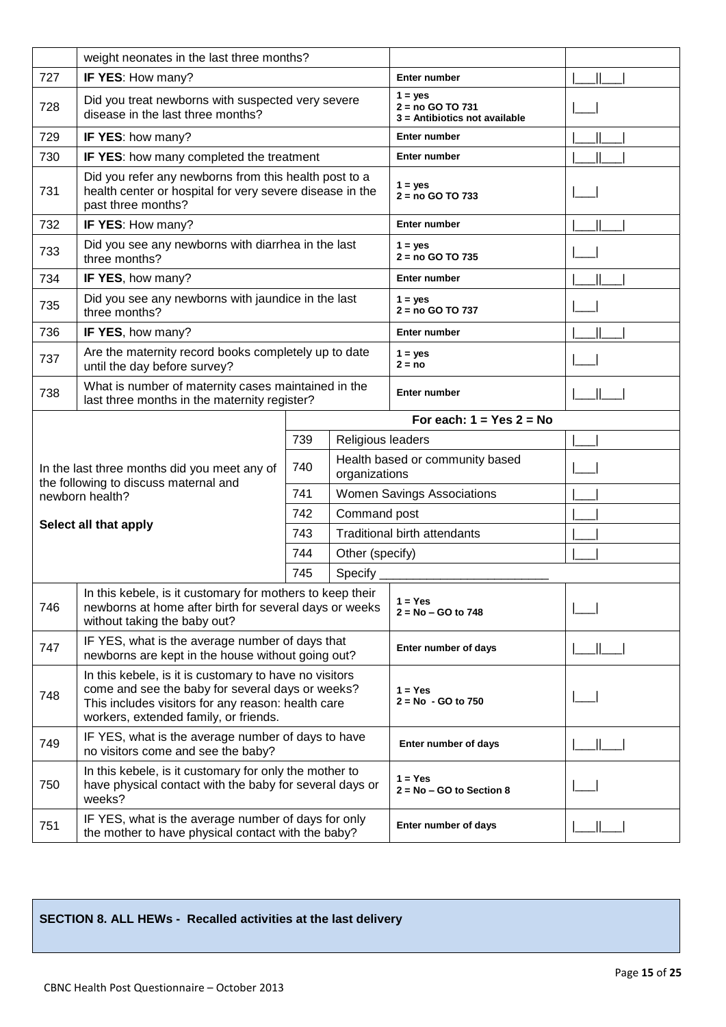|     | weight neonates in the last three months?                                                                                                                                                                 |                            |                                   |                                                                |  |
|-----|-----------------------------------------------------------------------------------------------------------------------------------------------------------------------------------------------------------|----------------------------|-----------------------------------|----------------------------------------------------------------|--|
| 727 | IF YES: How many?                                                                                                                                                                                         |                            | <b>Enter number</b>               |                                                                |  |
| 728 | Did you treat newborns with suspected very severe<br>disease in the last three months?                                                                                                                    |                            |                                   | $1 = yes$<br>2 = no GO TO 731<br>3 = Antibiotics not available |  |
| 729 | IF YES: how many?                                                                                                                                                                                         |                            | Enter number                      |                                                                |  |
| 730 | IF YES: how many completed the treatment                                                                                                                                                                  |                            |                                   | Enter number                                                   |  |
| 731 | Did you refer any newborns from this health post to a<br>health center or hospital for very severe disease in the<br>past three months?                                                                   |                            |                                   | $1 = yes$<br>$2 = no GOTO 733$                                 |  |
| 732 | IF YES: How many?                                                                                                                                                                                         |                            |                                   | Enter number                                                   |  |
| 733 | Did you see any newborns with diarrhea in the last<br>three months?                                                                                                                                       |                            |                                   | $1 = yes$<br>$2 = no GOTO 735$                                 |  |
| 734 | IF YES, how many?                                                                                                                                                                                         |                            |                                   | <b>Enter number</b>                                            |  |
| 735 | Did you see any newborns with jaundice in the last<br>three months?                                                                                                                                       |                            |                                   | $1 = yes$<br>2 = no GO TO 737                                  |  |
| 736 | IF YES, how many?                                                                                                                                                                                         |                            |                                   | <b>Enter number</b>                                            |  |
| 737 | Are the maternity record books completely up to date<br>until the day before survey?                                                                                                                      |                            |                                   | $1 = yes$<br>$2 = no$                                          |  |
| 738 | What is number of maternity cases maintained in the<br>last three months in the maternity register?                                                                                                       |                            |                                   | Enter number                                                   |  |
|     |                                                                                                                                                                                                           | For each: $1 = Yes$ 2 = No |                                   |                                                                |  |
|     |                                                                                                                                                                                                           | 739                        | Religious leaders                 |                                                                |  |
|     | In the last three months did you meet any of<br>the following to discuss maternal and                                                                                                                     | 740<br>organizations       |                                   | Health based or community based                                |  |
|     | newborn health?                                                                                                                                                                                           | 741                        | <b>Women Savings Associations</b> |                                                                |  |
|     | Select all that apply                                                                                                                                                                                     | 742                        | Command post                      |                                                                |  |
|     |                                                                                                                                                                                                           | 743                        |                                   | <b>Traditional birth attendants</b>                            |  |
|     |                                                                                                                                                                                                           | 744                        | Other (specify)                   |                                                                |  |
|     |                                                                                                                                                                                                           | 745                        | Specify _                         |                                                                |  |
| 746 | In this kebele, is it customary for mothers to keep their<br>newborns at home after birth for several days or weeks<br>without taking the baby out?                                                       |                            |                                   | $1 = Yes$<br>$2 = No - GO$ to 748                              |  |
| 747 | IF YES, what is the average number of days that<br>newborns are kept in the house without going out?                                                                                                      |                            |                                   | Enter number of days                                           |  |
| 748 | In this kebele, is it is customary to have no visitors<br>come and see the baby for several days or weeks?<br>This includes visitors for any reason: health care<br>workers, extended family, or friends. |                            |                                   | $1 = Yes$<br>$2 = No - GO to 750$                              |  |
| 749 | IF YES, what is the average number of days to have<br>no visitors come and see the baby?                                                                                                                  |                            |                                   | Enter number of days                                           |  |
| 750 | In this kebele, is it customary for only the mother to<br>have physical contact with the baby for several days or<br>weeks?                                                                               |                            |                                   | $1 = Yes$<br>$2 = No - GO$ to Section 8                        |  |
| 751 | IF YES, what is the average number of days for only<br>the mother to have physical contact with the baby?                                                                                                 |                            |                                   | Enter number of days                                           |  |

# **SECTION 8. ALL HEWs - Recalled activities at the last delivery**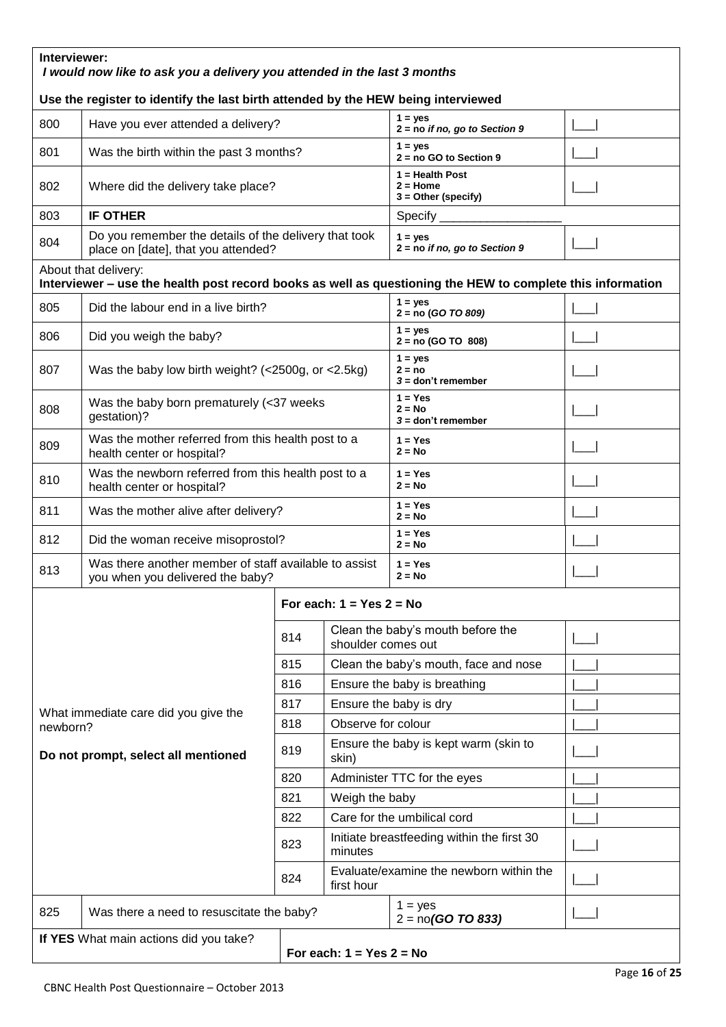| Interviewer:<br>I would now like to ask you a delivery you attended in the last 3 months |                                                                                                                                    |                                              |                                                       |                                                      |  |  |
|------------------------------------------------------------------------------------------|------------------------------------------------------------------------------------------------------------------------------------|----------------------------------------------|-------------------------------------------------------|------------------------------------------------------|--|--|
|                                                                                          | Use the register to identify the last birth attended by the HEW being interviewed                                                  |                                              |                                                       |                                                      |  |  |
| 800                                                                                      | Have you ever attended a delivery?                                                                                                 | $1 = yes$<br>$2 = no$ if no, go to Section 9 |                                                       |                                                      |  |  |
| 801                                                                                      | Was the birth within the past 3 months?                                                                                            |                                              |                                                       | $1 = yes$<br>$2 = no GO$ to Section 9                |  |  |
| 802                                                                                      | Where did the delivery take place?                                                                                                 |                                              |                                                       | 1 = Health Post<br>2 = Home<br>$3 =$ Other (specify) |  |  |
| 803                                                                                      | <b>IF OTHER</b>                                                                                                                    |                                              |                                                       | $Specify$ <sub>_______</sub>                         |  |  |
| 804                                                                                      | Do you remember the details of the delivery that took<br>place on [date], that you attended?                                       |                                              |                                                       | $1 = yes$<br>$2 = no$ if no, go to Section 9         |  |  |
|                                                                                          | About that delivery:<br>Interviewer - use the health post record books as well as questioning the HEW to complete this information |                                              |                                                       |                                                      |  |  |
| 805                                                                                      | Did the labour end in a live birth?                                                                                                |                                              |                                                       | $1 = yes$<br>$2 = no (GO TO 809)$                    |  |  |
| 806                                                                                      | Did you weigh the baby?                                                                                                            |                                              |                                                       | $1 = ves$<br>$2 = no (GO TO 808)$                    |  |  |
| 807                                                                                      | Was the baby low birth weight? ( $<$ 2500g, or $<$ 2.5kg)                                                                          |                                              |                                                       | $1 = yes$<br>$2 = no$<br>$3 =$ don't remember        |  |  |
| 808                                                                                      | gestation)?                                                                                                                        | Was the baby born prematurely (<37 weeks     |                                                       |                                                      |  |  |
| 809                                                                                      | Was the mother referred from this health post to a<br>health center or hospital?                                                   |                                              |                                                       | $1 = Yes$<br>$2 = No$                                |  |  |
| 810                                                                                      | Was the newborn referred from this health post to a<br>health center or hospital?                                                  |                                              |                                                       | $1 = Yes$<br>$2 = No$                                |  |  |
| 811                                                                                      | Was the mother alive after delivery?                                                                                               |                                              |                                                       | $1 = Yes$<br>$2 = No$                                |  |  |
| 812                                                                                      | Did the woman receive misoprostol?                                                                                                 |                                              |                                                       | $1 = Yes$<br>$2 = No$                                |  |  |
| 813                                                                                      | Was there another member of staff available to assist<br>you when you delivered the baby?                                          |                                              |                                                       | $1 = Yes$<br>$2 = No$                                |  |  |
|                                                                                          |                                                                                                                                    |                                              | For each: $1 = Yes$ 2 = No                            |                                                      |  |  |
|                                                                                          |                                                                                                                                    | 814                                          | shoulder comes out                                    | Clean the baby's mouth before the                    |  |  |
|                                                                                          |                                                                                                                                    | 815                                          |                                                       | Clean the baby's mouth, face and nose                |  |  |
|                                                                                          |                                                                                                                                    | 816                                          |                                                       | Ensure the baby is breathing                         |  |  |
|                                                                                          | What immediate care did you give the                                                                                               | 817                                          |                                                       | Ensure the baby is dry                               |  |  |
| newborn?                                                                                 |                                                                                                                                    | 818                                          | Observe for colour                                    |                                                      |  |  |
|                                                                                          | Do not prompt, select all mentioned                                                                                                | 819                                          | skin)                                                 | Ensure the baby is kept warm (skin to                |  |  |
|                                                                                          |                                                                                                                                    | 820                                          |                                                       | Administer TTC for the eyes                          |  |  |
|                                                                                          |                                                                                                                                    | 821                                          | Weigh the baby                                        |                                                      |  |  |
|                                                                                          |                                                                                                                                    |                                              |                                                       | Care for the umbilical cord                          |  |  |
|                                                                                          |                                                                                                                                    | 823                                          | minutes                                               | Initiate breastfeeding within the first 30           |  |  |
|                                                                                          |                                                                                                                                    | 824                                          | Evaluate/examine the newborn within the<br>first hour |                                                      |  |  |
| 825                                                                                      | Was there a need to resuscitate the baby?                                                                                          |                                              |                                                       | $1 = yes$<br>$2 = no(GO TO 833)$                     |  |  |
|                                                                                          | If YES What main actions did you take?<br>For each: $1 = Yes$ 2 = No                                                               |                                              |                                                       |                                                      |  |  |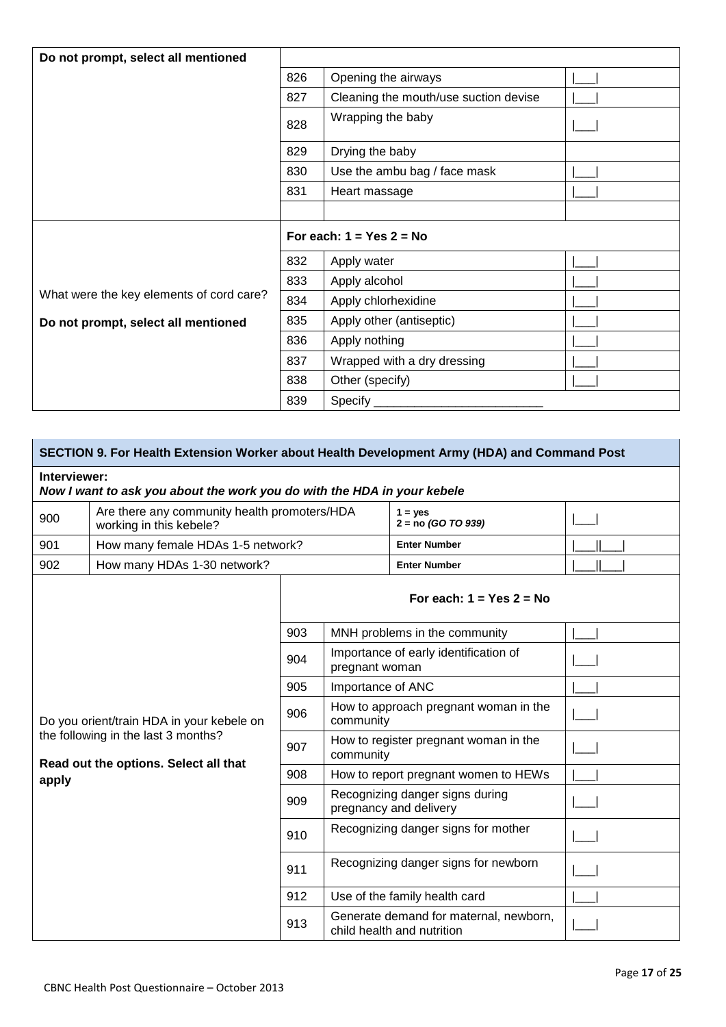| Do not prompt, select all mentioned      |                        |                                       |  |  |  |
|------------------------------------------|------------------------|---------------------------------------|--|--|--|
|                                          | 826                    | Opening the airways                   |  |  |  |
|                                          | 827                    | Cleaning the mouth/use suction devise |  |  |  |
|                                          | 828                    | Wrapping the baby                     |  |  |  |
|                                          | 829<br>Drying the baby |                                       |  |  |  |
|                                          | 830                    | Use the ambu bag / face mask          |  |  |  |
|                                          | 831                    | Heart massage                         |  |  |  |
|                                          |                        |                                       |  |  |  |
|                                          |                        | For each: $1 = Yes$ 2 = No            |  |  |  |
|                                          | 832                    | Apply water                           |  |  |  |
|                                          | 833                    | Apply alcohol                         |  |  |  |
| What were the key elements of cord care? | 834                    | Apply chlorhexidine                   |  |  |  |
| Do not prompt, select all mentioned      | 835                    | Apply other (antiseptic)              |  |  |  |
|                                          | 836                    | Apply nothing                         |  |  |  |
|                                          | 837                    | Wrapped with a dry dressing           |  |  |  |
|                                          | 838                    | Other (specify)                       |  |  |  |
|                                          |                        |                                       |  |  |  |

|       | SECTION 9. For Health Extension Worker about Health Development Army (HDA) and Command Post |     |                                                                      |                                                           |  |  |  |
|-------|---------------------------------------------------------------------------------------------|-----|----------------------------------------------------------------------|-----------------------------------------------------------|--|--|--|
|       | Interviewer:<br>Now I want to ask you about the work you do with the HDA in your kebele     |     |                                                                      |                                                           |  |  |  |
| 900   | Are there any community health promoters/HDA<br>working in this kebele?                     |     |                                                                      | $1 = yes$<br>$2 = no (GO TO 939)$                         |  |  |  |
| 901   | How many female HDAs 1-5 network?                                                           |     |                                                                      | <b>Enter Number</b>                                       |  |  |  |
| 902   | How many HDAs 1-30 network?                                                                 |     |                                                                      | <b>Enter Number</b>                                       |  |  |  |
|       |                                                                                             |     |                                                                      | For each: $1 = Yes$ 2 = No                                |  |  |  |
|       |                                                                                             | 903 |                                                                      | MNH problems in the community                             |  |  |  |
|       |                                                                                             | 904 | Importance of early identification of<br>pregnant woman              |                                                           |  |  |  |
|       |                                                                                             | 905 | Importance of ANC                                                    |                                                           |  |  |  |
|       | Do you orient/train HDA in your kebele on                                                   | 906 | How to approach pregnant woman in the<br>community                   |                                                           |  |  |  |
|       | the following in the last 3 months?<br>Read out the options. Select all that                | 907 | How to register pregnant woman in the<br>community                   |                                                           |  |  |  |
| apply |                                                                                             | 908 |                                                                      | How to report pregnant women to HEWs                      |  |  |  |
|       |                                                                                             | 909 |                                                                      | Recognizing danger signs during<br>pregnancy and delivery |  |  |  |
|       |                                                                                             | 910 |                                                                      | Recognizing danger signs for mother                       |  |  |  |
|       |                                                                                             | 911 |                                                                      | Recognizing danger signs for newborn                      |  |  |  |
|       |                                                                                             | 912 |                                                                      | Use of the family health card                             |  |  |  |
|       |                                                                                             | 913 | Generate demand for maternal, newborn,<br>child health and nutrition |                                                           |  |  |  |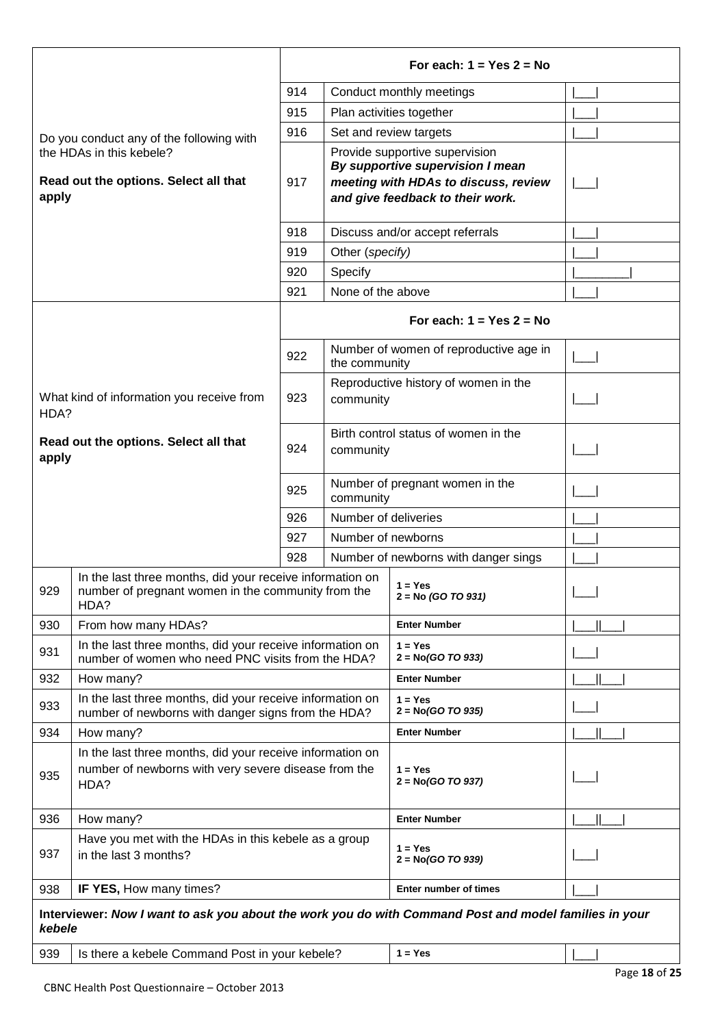|        |                                                                                                                           |                                                          |                      | For each: $1 = Yes$ 2 = No                                                                                                                     |  |
|--------|---------------------------------------------------------------------------------------------------------------------------|----------------------------------------------------------|----------------------|------------------------------------------------------------------------------------------------------------------------------------------------|--|
|        |                                                                                                                           | 914                                                      |                      | Conduct monthly meetings                                                                                                                       |  |
|        |                                                                                                                           | 915                                                      |                      | Plan activities together                                                                                                                       |  |
|        | Do you conduct any of the following with                                                                                  | 916                                                      |                      | Set and review targets                                                                                                                         |  |
| apply  | the HDAs in this kebele?<br>Read out the options. Select all that                                                         | 917                                                      |                      | Provide supportive supervision<br>By supportive supervision I mean<br>meeting with HDAs to discuss, review<br>and give feedback to their work. |  |
|        |                                                                                                                           | 918                                                      |                      | Discuss and/or accept referrals                                                                                                                |  |
|        |                                                                                                                           | 919                                                      | Other (specify)      |                                                                                                                                                |  |
|        |                                                                                                                           | 920                                                      | Specify              |                                                                                                                                                |  |
|        |                                                                                                                           | 921                                                      | None of the above    |                                                                                                                                                |  |
|        |                                                                                                                           |                                                          |                      | For each: $1 = Yes$ 2 = No                                                                                                                     |  |
|        |                                                                                                                           | 922                                                      | the community        | Number of women of reproductive age in                                                                                                         |  |
| HDA?   | What kind of information you receive from                                                                                 | 923                                                      | community            | Reproductive history of women in the                                                                                                           |  |
| apply  | Read out the options. Select all that                                                                                     | Birth control status of women in the<br>924<br>community |                      |                                                                                                                                                |  |
|        |                                                                                                                           | 925                                                      | community            | Number of pregnant women in the                                                                                                                |  |
|        |                                                                                                                           | 926                                                      | Number of deliveries |                                                                                                                                                |  |
|        |                                                                                                                           | 927                                                      | Number of newborns   |                                                                                                                                                |  |
|        |                                                                                                                           | 928                                                      |                      | Number of newborns with danger sings                                                                                                           |  |
| 929    | In the last three months, did your receive information on<br>number of pregnant women in the community from the<br>HDA?   |                                                          |                      | $1 = Yes$<br>$2 = No (GO TO 931)$                                                                                                              |  |
| 930    | From how many HDAs?                                                                                                       |                                                          |                      | <b>Enter Number</b>                                                                                                                            |  |
| 931    | In the last three months, did your receive information on<br>number of women who need PNC visits from the HDA?            |                                                          |                      | $1 = Yes$<br>$2 = No(GO TO 933)$                                                                                                               |  |
| 932    | How many?                                                                                                                 |                                                          |                      | <b>Enter Number</b>                                                                                                                            |  |
| 933    | In the last three months, did your receive information on<br>number of newborns with danger signs from the HDA?           |                                                          |                      | $1 = Yes$<br>$2 = No(GO TO 935)$                                                                                                               |  |
| 934    | How many?                                                                                                                 |                                                          |                      | <b>Enter Number</b>                                                                                                                            |  |
| 935    | In the last three months, did your receive information on<br>number of newborns with very severe disease from the<br>HDA? |                                                          |                      | $1 = Yes$<br>$2 = No(GO TO 937)$                                                                                                               |  |
| 936    | How many?                                                                                                                 |                                                          |                      | <b>Enter Number</b>                                                                                                                            |  |
| 937    | Have you met with the HDAs in this kebele as a group<br>in the last 3 months?                                             |                                                          |                      | $1 = Yes$<br>$2 = No(GO TO 939)$                                                                                                               |  |
| 938    | IF YES, How many times?                                                                                                   |                                                          |                      | <b>Enter number of times</b>                                                                                                                   |  |
| kebele | Interviewer: Now I want to ask you about the work you do with Command Post and model families in your                     |                                                          |                      |                                                                                                                                                |  |

| 939 | Is there a kebele Command Post in your kebele? |  | $1 = Yes$ |  |  |
|-----|------------------------------------------------|--|-----------|--|--|
|-----|------------------------------------------------|--|-----------|--|--|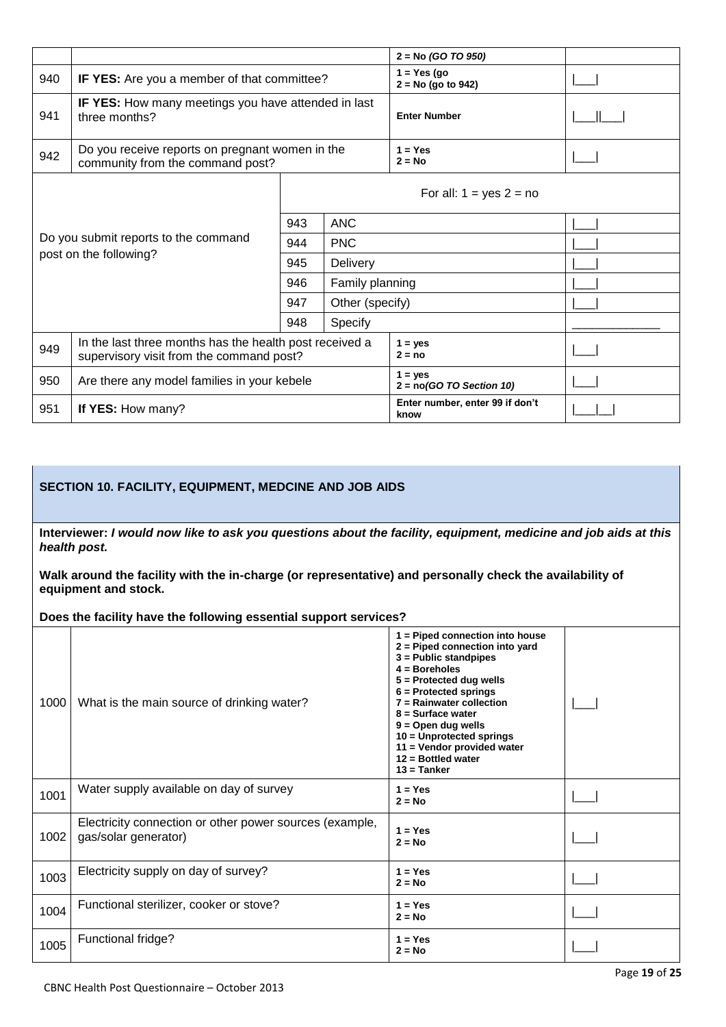|                                                                                            |                                                                                                     |                       |                 | $2 = No (GO TO 950)$                    |  |
|--------------------------------------------------------------------------------------------|-----------------------------------------------------------------------------------------------------|-----------------------|-----------------|-----------------------------------------|--|
| 940                                                                                        | IF YES: Are you a member of that committee?                                                         |                       |                 | $1 = Yes (go)$<br>$2 = No$ (go to 942)  |  |
| <b>IF YES:</b> How many meetings you have attended in last<br>941<br>three months?         |                                                                                                     | <b>Enter Number</b>   |                 |                                         |  |
| Do you receive reports on pregnant women in the<br>942<br>community from the command post? |                                                                                                     | $1 = Yes$<br>$2 = No$ |                 |                                         |  |
|                                                                                            |                                                                                                     |                       |                 | For all: $1 = yes 2 = no$               |  |
|                                                                                            |                                                                                                     | 943                   | <b>ANC</b>      |                                         |  |
|                                                                                            | Do you submit reports to the command                                                                | <b>PNC</b><br>944     |                 |                                         |  |
|                                                                                            | post on the following?                                                                              | 945                   | Delivery        |                                         |  |
|                                                                                            |                                                                                                     | 946                   | Family planning |                                         |  |
|                                                                                            |                                                                                                     | 947                   | Other (specify) |                                         |  |
|                                                                                            |                                                                                                     | 948                   | Specify         |                                         |  |
| 949                                                                                        | In the last three months has the health post received a<br>supervisory visit from the command post? |                       |                 | $1 = yes$<br>$2 = no$                   |  |
| 950                                                                                        | Are there any model families in your kebele                                                         |                       |                 | $1 = ves$<br>$2 = no(GO TO Section 10)$ |  |
| 951                                                                                        | If YES: How many?                                                                                   |                       |                 | Enter number, enter 99 if don't<br>know |  |

## **SECTION 10. FACILITY, EQUIPMENT, MEDCINE AND JOB AIDS**

**Interviewer:** *I would now like to ask you questions about the facility, equipment, medicine and job aids at this health post.* 

**Walk around the facility with the in-charge (or representative) and personally check the availability of equipment and stock.**

**Does the facility have the following essential support services?**

| 1000 | What is the main source of drinking water?                                      | 1 = Piped connection into house<br>2 = Piped connection into yard<br>$3$ = Public standpipes<br>$4 = Boreholes$<br>$5 =$ Protected dug wells<br>$6$ = Protected springs<br>$7 =$ Rainwater collection<br>$8 =$ Surface water<br>$9 =$ Open dug wells<br>10 = Unprotected springs<br>11 = Vendor provided water<br>$12 =$ Bottled water<br>$13 =$ Tanker |  |
|------|---------------------------------------------------------------------------------|---------------------------------------------------------------------------------------------------------------------------------------------------------------------------------------------------------------------------------------------------------------------------------------------------------------------------------------------------------|--|
| 1001 | Water supply available on day of survey                                         | $1 = Yes$<br>$2 = No$                                                                                                                                                                                                                                                                                                                                   |  |
| 1002 | Electricity connection or other power sources (example,<br>gas/solar generator) | $1 = Yes$<br>$2 = No$                                                                                                                                                                                                                                                                                                                                   |  |
| 1003 | Electricity supply on day of survey?                                            | $1 = Yes$<br>$2 = No$                                                                                                                                                                                                                                                                                                                                   |  |
| 1004 | Functional sterilizer, cooker or stove?                                         | $1 = Yes$<br>$2 = No$                                                                                                                                                                                                                                                                                                                                   |  |
| 1005 | Functional fridge?                                                              | $1 = Yes$<br>$2 = No$                                                                                                                                                                                                                                                                                                                                   |  |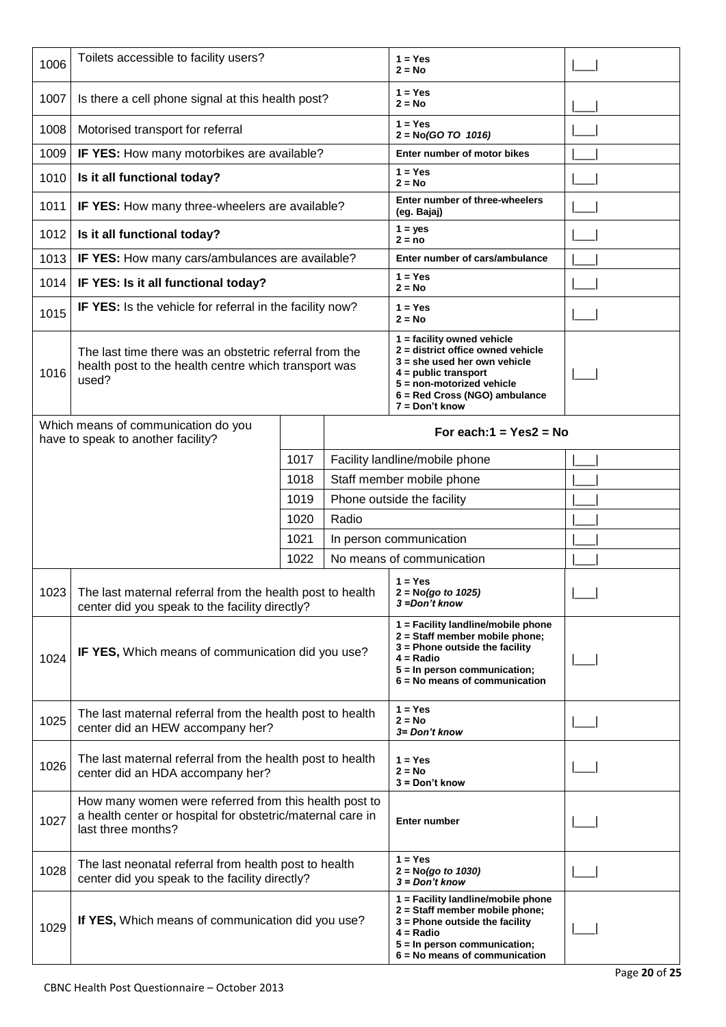| 1006 | Toilets accessible to facility users?                                                                                                     |      |       | $1 = Yes$<br>$2 = No$                                                                                                                                                                                             |  |  |  |  |
|------|-------------------------------------------------------------------------------------------------------------------------------------------|------|-------|-------------------------------------------------------------------------------------------------------------------------------------------------------------------------------------------------------------------|--|--|--|--|
| 1007 | Is there a cell phone signal at this health post?                                                                                         |      |       | $1 = Yes$<br>$2 = No$                                                                                                                                                                                             |  |  |  |  |
| 1008 | Motorised transport for referral                                                                                                          |      |       | $1 = Yes$<br>$2 = No(GO TO 1016)$                                                                                                                                                                                 |  |  |  |  |
| 1009 | IF YES: How many motorbikes are available?                                                                                                |      |       | Enter number of motor bikes                                                                                                                                                                                       |  |  |  |  |
| 1010 | Is it all functional today?                                                                                                               |      |       | $1 = Yes$<br>$2 = No$                                                                                                                                                                                             |  |  |  |  |
| 1011 | IF YES: How many three-wheelers are available?                                                                                            |      |       | Enter number of three-wheelers<br>(eg. Bajaj)                                                                                                                                                                     |  |  |  |  |
| 1012 | Is it all functional today?                                                                                                               |      |       | $1 = yes$<br>$2 = no$                                                                                                                                                                                             |  |  |  |  |
| 1013 | IF YES: How many cars/ambulances are available?                                                                                           |      |       | Enter number of cars/ambulance                                                                                                                                                                                    |  |  |  |  |
| 1014 | IF YES: Is it all functional today?                                                                                                       |      |       | $1 = Yes$<br>$2 = No$                                                                                                                                                                                             |  |  |  |  |
| 1015 | IF YES: Is the vehicle for referral in the facility now?                                                                                  |      |       | $1 = Yes$<br>$2 = No$                                                                                                                                                                                             |  |  |  |  |
| 1016 | The last time there was an obstetric referral from the<br>health post to the health centre which transport was<br>used?                   |      |       | $1 =$ facility owned vehicle<br>$2$ = district office owned vehicle<br>$3 =$ she used her own vehicle<br>$4 =$ public transport<br>5 = non-motorized vehicle<br>6 = Red Cross (NGO) ambulance<br>$7 = Don't know$ |  |  |  |  |
|      | Which means of communication do you<br>have to speak to another facility?                                                                 |      |       | For each: $1 = Yes2 = No$                                                                                                                                                                                         |  |  |  |  |
|      |                                                                                                                                           | 1017 |       | Facility landline/mobile phone                                                                                                                                                                                    |  |  |  |  |
|      |                                                                                                                                           | 1018 |       | Staff member mobile phone                                                                                                                                                                                         |  |  |  |  |
|      |                                                                                                                                           | 1019 |       | Phone outside the facility                                                                                                                                                                                        |  |  |  |  |
|      |                                                                                                                                           | 1020 | Radio |                                                                                                                                                                                                                   |  |  |  |  |
|      |                                                                                                                                           | 1021 |       | In person communication                                                                                                                                                                                           |  |  |  |  |
|      |                                                                                                                                           | 1022 |       | No means of communication                                                                                                                                                                                         |  |  |  |  |
| 1023 | The last maternal referral from the health post to health<br>center did you speak to the facility directly?                               |      |       | $1 = Yes$<br>$2 = No(go to 1025)$<br>3 =Don't know                                                                                                                                                                |  |  |  |  |
| 1024 | IF YES, Which means of communication did you use?                                                                                         |      |       | 1 = Facility landline/mobile phone<br>2 = Staff member mobile phone;<br>3 = Phone outside the facility<br>$4 = Radio$<br>5 = In person communication;<br>$6 = No$ means of communication                          |  |  |  |  |
| 1025 | The last maternal referral from the health post to health<br>center did an HEW accompany her?                                             |      |       | $1 = Yes$<br>$2 = No$<br>3= Don't know                                                                                                                                                                            |  |  |  |  |
| 1026 | The last maternal referral from the health post to health<br>center did an HDA accompany her?                                             |      |       | $1 = Yes$<br>$2 = No$<br>$3 = Don't know$                                                                                                                                                                         |  |  |  |  |
| 1027 | How many women were referred from this health post to<br>a health center or hospital for obstetric/maternal care in<br>last three months? |      |       | <b>Enter number</b>                                                                                                                                                                                               |  |  |  |  |
| 1028 | The last neonatal referral from health post to health<br>center did you speak to the facility directly?                                   |      |       | $1 = Yes$<br>$2 = No(go to 1030)$<br>$3 = Don't know$                                                                                                                                                             |  |  |  |  |
| 1029 | If YES, Which means of communication did you use?                                                                                         |      |       | 1 = Facility landline/mobile phone<br>2 = Staff member mobile phone;<br>3 = Phone outside the facility<br>$4 = Radio$<br>5 = In person communication;<br>$6 = No$ means of communication                          |  |  |  |  |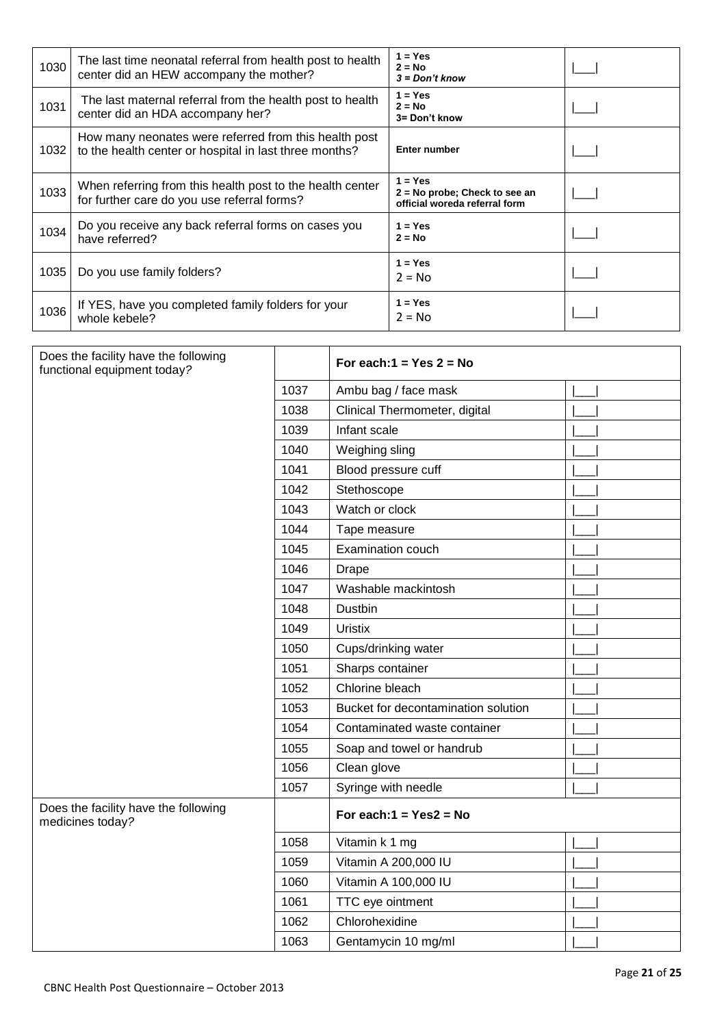| 1030 | The last time neonatal referral from health post to health<br>center did an HEW accompany the mother?           | $1 = Yes$<br>$2 = No$<br>$3 = Don't know$                                     |  |
|------|-----------------------------------------------------------------------------------------------------------------|-------------------------------------------------------------------------------|--|
| 1031 | The last maternal referral from the health post to health<br>center did an HDA accompany her?                   | $1 = Yes$<br>$2 = No$<br>3= Don't know                                        |  |
| 1032 | How many neonates were referred from this health post<br>to the health center or hospital in last three months? | <b>Enter number</b>                                                           |  |
| 1033 | When referring from this health post to the health center<br>for further care do you use referral forms?        | $1 = Yes$<br>$2 = No$ probe; Check to see an<br>official woreda referral form |  |
| 1034 | Do you receive any back referral forms on cases you<br>have referred?                                           | $1 = Yes$<br>$2 = No$                                                         |  |
| 1035 | Do you use family folders?                                                                                      | $1 = Yes$<br>$2 = No$                                                         |  |
| 1036 | If YES, have you completed family folders for your<br>whole kebele?                                             | $1 = Yes$<br>$2 = No$                                                         |  |

| Does the facility have the following<br>functional equipment today? |      | For each: $1 = Yes$ 2 = No          |  |
|---------------------------------------------------------------------|------|-------------------------------------|--|
|                                                                     | 1037 | Ambu bag / face mask                |  |
|                                                                     | 1038 | Clinical Thermometer, digital       |  |
|                                                                     | 1039 | Infant scale                        |  |
|                                                                     | 1040 | Weighing sling                      |  |
|                                                                     | 1041 | Blood pressure cuff                 |  |
|                                                                     | 1042 | Stethoscope                         |  |
|                                                                     | 1043 | Watch or clock                      |  |
|                                                                     | 1044 | Tape measure                        |  |
|                                                                     | 1045 | Examination couch                   |  |
|                                                                     | 1046 | <b>Drape</b>                        |  |
|                                                                     | 1047 | Washable mackintosh                 |  |
|                                                                     | 1048 | Dustbin                             |  |
|                                                                     | 1049 | <b>Uristix</b>                      |  |
|                                                                     | 1050 | Cups/drinking water                 |  |
|                                                                     | 1051 | Sharps container                    |  |
|                                                                     | 1052 | Chlorine bleach                     |  |
|                                                                     | 1053 | Bucket for decontamination solution |  |
|                                                                     | 1054 | Contaminated waste container        |  |
|                                                                     | 1055 | Soap and towel or handrub           |  |
|                                                                     | 1056 | Clean glove                         |  |
|                                                                     | 1057 | Syringe with needle                 |  |
| Does the facility have the following<br>medicines today?            |      | For each: $1 = Yes2 = No$           |  |
|                                                                     | 1058 | Vitamin k 1 mg                      |  |
|                                                                     | 1059 | Vitamin A 200,000 IU                |  |
|                                                                     | 1060 | Vitamin A 100,000 IU                |  |
|                                                                     | 1061 | TTC eye ointment                    |  |
|                                                                     | 1062 | Chlorohexidine                      |  |
|                                                                     | 1063 | Gentamycin 10 mg/ml                 |  |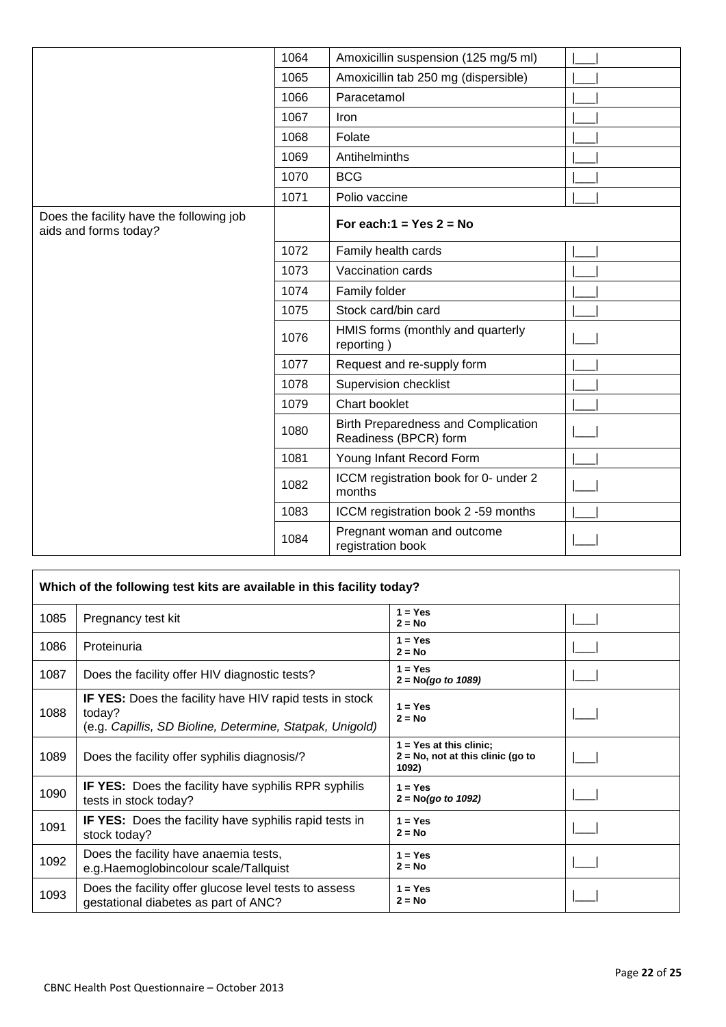|                                                                   | 1064 | Amoxicillin suspension (125 mg/5 ml)                         |  |
|-------------------------------------------------------------------|------|--------------------------------------------------------------|--|
|                                                                   | 1065 | Amoxicillin tab 250 mg (dispersible)                         |  |
|                                                                   | 1066 | Paracetamol                                                  |  |
|                                                                   | 1067 | Iron                                                         |  |
|                                                                   | 1068 | Folate                                                       |  |
|                                                                   | 1069 | Antihelminths                                                |  |
|                                                                   | 1070 | <b>BCG</b>                                                   |  |
|                                                                   | 1071 | Polio vaccine                                                |  |
| Does the facility have the following job<br>aids and forms today? |      | For each: $1 = Yes$ 2 = No                                   |  |
|                                                                   | 1072 | Family health cards                                          |  |
|                                                                   | 1073 | Vaccination cards                                            |  |
|                                                                   | 1074 | Family folder                                                |  |
|                                                                   | 1075 | Stock card/bin card                                          |  |
|                                                                   | 1076 | HMIS forms (monthly and quarterly<br>reporting)              |  |
|                                                                   | 1077 | Request and re-supply form                                   |  |
|                                                                   | 1078 | Supervision checklist                                        |  |
|                                                                   | 1079 | Chart booklet                                                |  |
|                                                                   | 1080 | Birth Preparedness and Complication<br>Readiness (BPCR) form |  |
|                                                                   | 1081 | Young Infant Record Form                                     |  |
|                                                                   | 1082 | ICCM registration book for 0- under 2<br>months              |  |
|                                                                   | 1083 | ICCM registration book 2 -59 months                          |  |
|                                                                   | 1084 | Pregnant woman and outcome<br>registration book              |  |

|      | Which of the following test kits are available in this facility today?                                                               |                                                                            |  |
|------|--------------------------------------------------------------------------------------------------------------------------------------|----------------------------------------------------------------------------|--|
| 1085 | Pregnancy test kit                                                                                                                   | $1 = Yes$<br>$2 = No$                                                      |  |
| 1086 | Proteinuria                                                                                                                          | $1 = Yes$<br>$2 = No$                                                      |  |
| 1087 | Does the facility offer HIV diagnostic tests?                                                                                        | $1 = Yes$<br>$2 = No(got to 1089)$                                         |  |
| 1088 | <b>IF YES:</b> Does the facility have HIV rapid tests in stock<br>today?<br>(e.g. Capillis, SD Bioline, Determine, Statpak, Unigold) | $1 = Yes$<br>$2 = No$                                                      |  |
| 1089 | Does the facility offer syphilis diagnosis/?                                                                                         | $1 = Yes$ at this clinic;<br>$2 = No$ , not at this clinic (go to<br>1092) |  |
| 1090 | <b>IF YES:</b> Does the facility have syphilis RPR syphilis<br>tests in stock today?                                                 | $1 = Yes$<br>$2 = No(qo to 1092)$                                          |  |
| 1091 | <b>IF YES:</b> Does the facility have syphilis rapid tests in<br>stock today?                                                        | $1 = Yes$<br>$2 = No$                                                      |  |
| 1092 | Does the facility have anaemia tests,<br>e.g. Haemoglobincolour scale/Tallquist                                                      | $1 = Yes$<br>$2 = No$                                                      |  |
| 1093 | Does the facility offer glucose level tests to assess<br>gestational diabetes as part of ANC?                                        | $1 = Yes$<br>$2 = No$                                                      |  |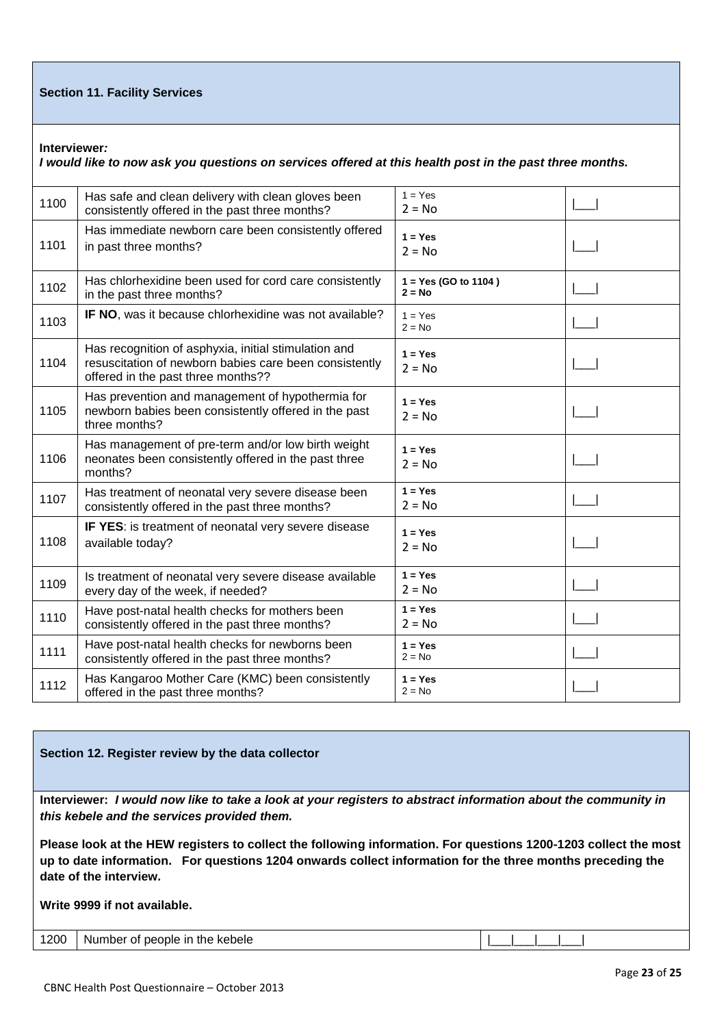### **Section 11. Facility Services**

**Interviewer***:*

*I would like to now ask you questions on services offered at this health post in the past three months.*

| 1100 | Has safe and clean delivery with clean gloves been<br>consistently offered in the past three months?                                                 | $1 = Yes$<br>$2 = No$              |  |
|------|------------------------------------------------------------------------------------------------------------------------------------------------------|------------------------------------|--|
| 1101 | Has immediate newborn care been consistently offered<br>in past three months?                                                                        | $1 = Yes$<br>$2 = No$              |  |
| 1102 | Has chlorhexidine been used for cord care consistently<br>in the past three months?                                                                  | $1 = Yes (GO to 1104)$<br>$2 = No$ |  |
| 1103 | IF NO, was it because chlorhexidine was not available?                                                                                               | $1 = Yes$<br>$2 = No$              |  |
| 1104 | Has recognition of asphyxia, initial stimulation and<br>resuscitation of newborn babies care been consistently<br>offered in the past three months?? | $1 = Yes$<br>$2 = No$              |  |
| 1105 | Has prevention and management of hypothermia for<br>newborn babies been consistently offered in the past<br>three months?                            | $1 = Yes$<br>$2 = No$              |  |
| 1106 | Has management of pre-term and/or low birth weight<br>neonates been consistently offered in the past three<br>months?                                | $1 = Yes$<br>$2 = No$              |  |
| 1107 | Has treatment of neonatal very severe disease been<br>consistently offered in the past three months?                                                 | $1 = Yes$<br>$2 = No$              |  |
| 1108 | IF YES: is treatment of neonatal very severe disease<br>available today?                                                                             | $1 = Yes$<br>$2 = No$              |  |
| 1109 | Is treatment of neonatal very severe disease available<br>every day of the week, if needed?                                                          | $1 = Yes$<br>$2 = No$              |  |
| 1110 | Have post-natal health checks for mothers been<br>consistently offered in the past three months?                                                     | $1 = Yes$<br>$2 = No$              |  |
| 1111 | Have post-natal health checks for newborns been<br>consistently offered in the past three months?                                                    | $1 = Yes$<br>$2 = No$              |  |
| 1112 | Has Kangaroo Mother Care (KMC) been consistently<br>offered in the past three months?                                                                | $1 = Yes$<br>$2 = No$              |  |

### **Section 12. Register review by the data collector**

**Interviewer:** *I would now like to take a look at your registers to abstract information about the community in this kebele and the services provided them.* 

**Please look at the HEW registers to collect the following information. For questions 1200-1203 collect the most up to date information. For questions 1204 onwards collect information for the three months preceding the date of the interview.** 

### **Write 9999 if not available.**

|  | 1200 Number of people in the kebele |  |  |  |  |  |  |  |
|--|-------------------------------------|--|--|--|--|--|--|--|
|--|-------------------------------------|--|--|--|--|--|--|--|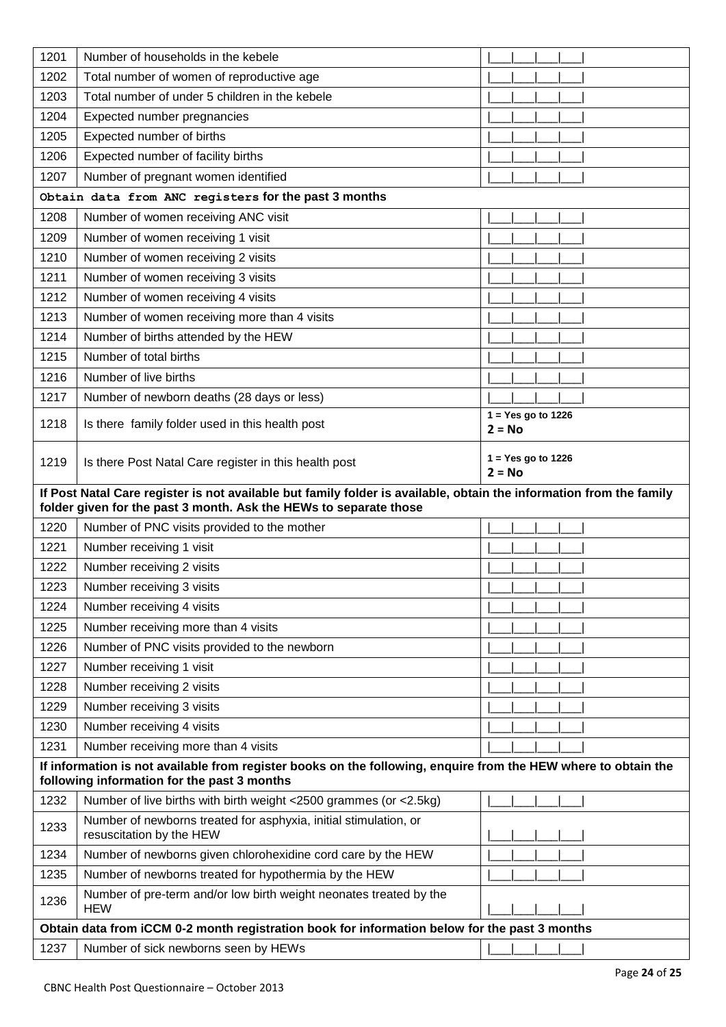| 1201 | Number of households in the kebele                                                                                                                            |                                  |
|------|---------------------------------------------------------------------------------------------------------------------------------------------------------------|----------------------------------|
| 1202 | Total number of women of reproductive age                                                                                                                     |                                  |
| 1203 | Total number of under 5 children in the kebele                                                                                                                |                                  |
| 1204 | Expected number pregnancies                                                                                                                                   |                                  |
| 1205 | Expected number of births                                                                                                                                     |                                  |
| 1206 | Expected number of facility births                                                                                                                            |                                  |
| 1207 | Number of pregnant women identified                                                                                                                           |                                  |
|      | Obtain data from ANC registers for the past 3 months                                                                                                          |                                  |
| 1208 | Number of women receiving ANC visit                                                                                                                           |                                  |
| 1209 | Number of women receiving 1 visit                                                                                                                             |                                  |
| 1210 | Number of women receiving 2 visits                                                                                                                            |                                  |
| 1211 | Number of women receiving 3 visits                                                                                                                            |                                  |
| 1212 | Number of women receiving 4 visits                                                                                                                            |                                  |
| 1213 | Number of women receiving more than 4 visits                                                                                                                  |                                  |
| 1214 | Number of births attended by the HEW                                                                                                                          |                                  |
| 1215 | Number of total births                                                                                                                                        |                                  |
| 1216 | Number of live births                                                                                                                                         |                                  |
| 1217 | Number of newborn deaths (28 days or less)                                                                                                                    |                                  |
| 1218 | Is there family folder used in this health post                                                                                                               | $1 = Yes$ go to 1226<br>$2 = No$ |
| 1219 | Is there Post Natal Care register in this health post                                                                                                         | $1 = Yes$ go to 1226<br>$2 = No$ |
|      | If Post Natal Care register is not available but family folder is available, obtain the information from the family                                           |                                  |
|      | folder given for the past 3 month. Ask the HEWs to separate those                                                                                             |                                  |
| 1220 | Number of PNC visits provided to the mother                                                                                                                   |                                  |
| 1221 | Number receiving 1 visit                                                                                                                                      |                                  |
| 1222 | Number receiving 2 visits                                                                                                                                     |                                  |
| 1223 | Number receiving 3 visits                                                                                                                                     |                                  |
| 1224 | Number receiving 4 visits                                                                                                                                     |                                  |
| 1225 | Number receiving more than 4 visits                                                                                                                           |                                  |
| 1226 | Number of PNC visits provided to the newborn                                                                                                                  |                                  |
| 1227 | Number receiving 1 visit                                                                                                                                      |                                  |
| 1228 | Number receiving 2 visits                                                                                                                                     |                                  |
| 1229 | Number receiving 3 visits                                                                                                                                     |                                  |
| 1230 | Number receiving 4 visits                                                                                                                                     |                                  |
| 1231 | Number receiving more than 4 visits                                                                                                                           |                                  |
|      | If information is not available from register books on the following, enquire from the HEW where to obtain the<br>following information for the past 3 months |                                  |
| 1232 | Number of live births with birth weight <2500 grammes (or <2.5kg)                                                                                             |                                  |
| 1233 | Number of newborns treated for asphyxia, initial stimulation, or<br>resuscitation by the HEW                                                                  |                                  |
| 1234 | Number of newborns given chlorohexidine cord care by the HEW                                                                                                  |                                  |
| 1235 | Number of newborns treated for hypothermia by the HEW                                                                                                         |                                  |
| 1236 | Number of pre-term and/or low birth weight neonates treated by the<br><b>HEW</b>                                                                              |                                  |
|      | Obtain data from iCCM 0-2 month registration book for information below for the past 3 months                                                                 |                                  |